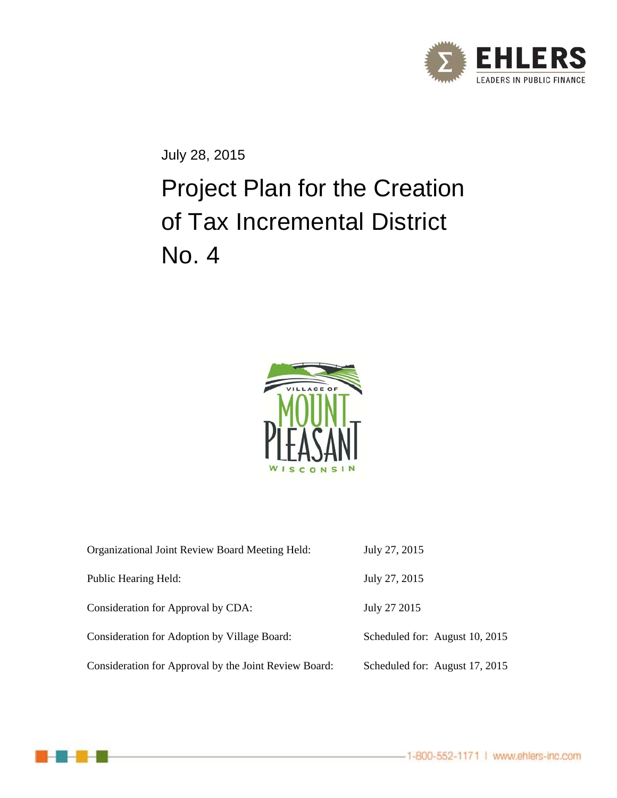

July 28, 2015

# Project Plan for the Creation of Tax Incremental District No. 4



| Organizational Joint Review Board Meeting Held:       | July 27, 2015                  |
|-------------------------------------------------------|--------------------------------|
| Public Hearing Held:                                  | July 27, 2015                  |
| Consideration for Approval by CDA:                    | July 27 2015                   |
| Consideration for Adoption by Village Board:          | Scheduled for: August 10, 2015 |
| Consideration for Approval by the Joint Review Board: | Scheduled for: August 17, 2015 |

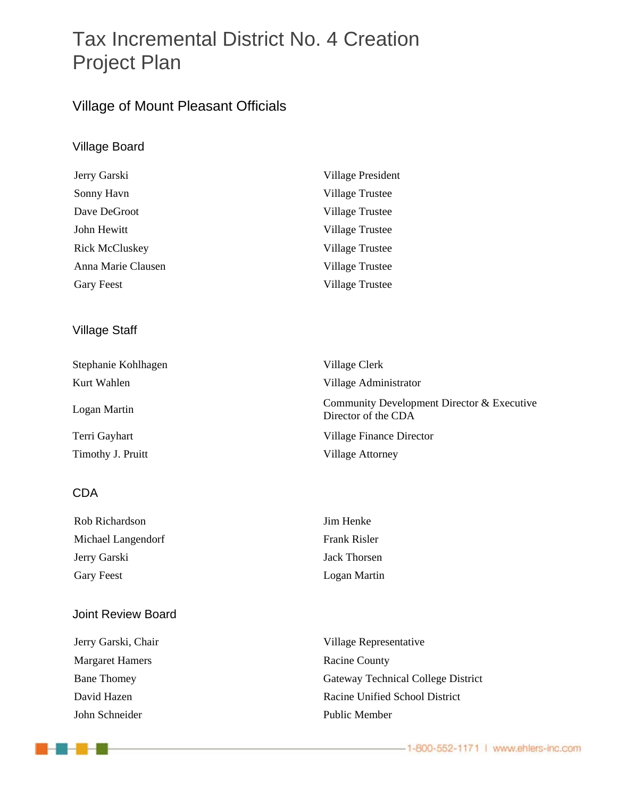# Tax Incremental District No. 4 Creation Project Plan

### Village of Mount Pleasant Officials

### Village Board

| Jerry Garski          | <b>Village President</b> |
|-----------------------|--------------------------|
| Sonny Havn            | Village Trustee          |
| Dave DeGroot          | <b>Village Trustee</b>   |
| John Hewitt           | Village Trustee          |
| <b>Rick McCluskey</b> | <b>Village Trustee</b>   |
| Anna Marie Clausen    | Village Trustee          |
| Gary Feest            | <b>Village Trustee</b>   |

### Village Staff

| Stephanie Kohlhagen | Village Clerk                                                     |
|---------------------|-------------------------------------------------------------------|
| Kurt Wahlen         | Village Administrator                                             |
| Logan Martin        | Community Development Director & Executive<br>Director of the CDA |
| Terri Gayhart       | Village Finance Director                                          |
| Timothy J. Pruitt   | <b>Village Attorney</b>                                           |

#### CDA

| Rob Richardson     | Jim Henke    |
|--------------------|--------------|
| Michael Langendorf | Frank Risler |
| Jerry Garski       | Jack Thorsen |
| Gary Feest         | Logan Martin |

#### Joint Review Board

Margaret Hamers Racine County John Schneider Public Member

1 - 2 - 4 - 2

Jerry Garski, Chair Village Representative Bane Thomey Gateway Technical College District David Hazen Racine Unified School District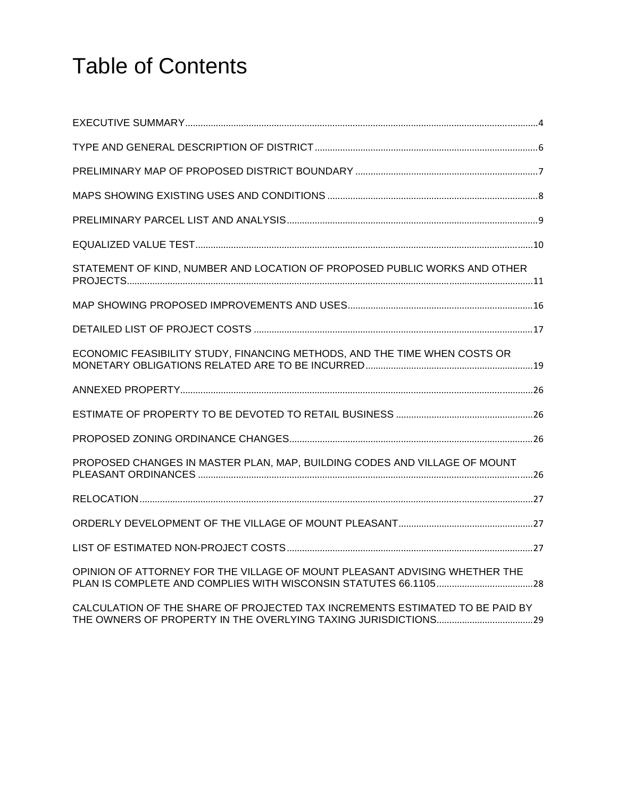# Table of Contents

| STATEMENT OF KIND, NUMBER AND LOCATION OF PROPOSED PUBLIC WORKS AND OTHER    |  |
|------------------------------------------------------------------------------|--|
|                                                                              |  |
|                                                                              |  |
| ECONOMIC FEASIBILITY STUDY, FINANCING METHODS, AND THE TIME WHEN COSTS OR    |  |
|                                                                              |  |
|                                                                              |  |
|                                                                              |  |
| PROPOSED CHANGES IN MASTER PLAN, MAP, BUILDING CODES AND VILLAGE OF MOUNT    |  |
|                                                                              |  |
|                                                                              |  |
|                                                                              |  |
| OPINION OF ATTORNEY FOR THE VILLAGE OF MOUNT PLEASANT ADVISING WHETHER THE   |  |
| CALCULATION OF THE SHARE OF PROJECTED TAX INCREMENTS ESTIMATED TO BE PAID BY |  |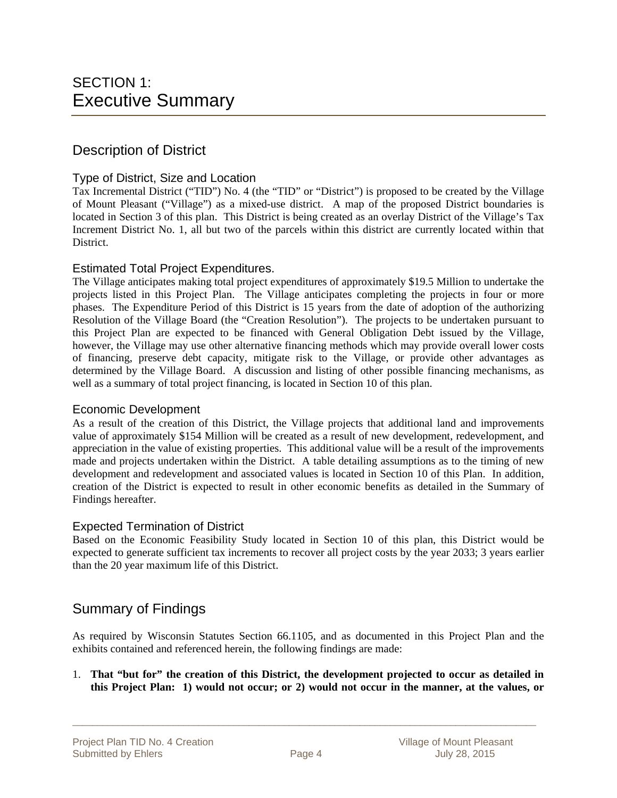### Description of District

#### Type of District, Size and Location

Tax Incremental District ("TID") No. 4 (the "TID" or "District") is proposed to be created by the Village of Mount Pleasant ("Village") as a mixed-use district. A map of the proposed District boundaries is located in Section 3 of this plan. This District is being created as an overlay District of the Village's Tax Increment District No. 1, all but two of the parcels within this district are currently located within that District.

#### Estimated Total Project Expenditures.

The Village anticipates making total project expenditures of approximately \$19.5 Million to undertake the projects listed in this Project Plan. The Village anticipates completing the projects in four or more phases. The Expenditure Period of this District is 15 years from the date of adoption of the authorizing Resolution of the Village Board (the "Creation Resolution"). The projects to be undertaken pursuant to this Project Plan are expected to be financed with General Obligation Debt issued by the Village, however, the Village may use other alternative financing methods which may provide overall lower costs of financing, preserve debt capacity, mitigate risk to the Village, or provide other advantages as determined by the Village Board. A discussion and listing of other possible financing mechanisms, as well as a summary of total project financing, is located in Section 10 of this plan.

#### Economic Development

As a result of the creation of this District, the Village projects that additional land and improvements value of approximately \$154 Million will be created as a result of new development, redevelopment, and appreciation in the value of existing properties. This additional value will be a result of the improvements made and projects undertaken within the District. A table detailing assumptions as to the timing of new development and redevelopment and associated values is located in Section 10 of this Plan. In addition, creation of the District is expected to result in other economic benefits as detailed in the Summary of Findings hereafter.

#### Expected Termination of District

Based on the Economic Feasibility Study located in Section 10 of this plan, this District would be expected to generate sufficient tax increments to recover all project costs by the year 2033; 3 years earlier than the 20 year maximum life of this District.

### Summary of Findings

As required by Wisconsin Statutes Section 66.1105, and as documented in this Project Plan and the exhibits contained and referenced herein, the following findings are made:

1. **That "but for" the creation of this District, the development projected to occur as detailed in this Project Plan: 1) would not occur; or 2) would not occur in the manner, at the values, or**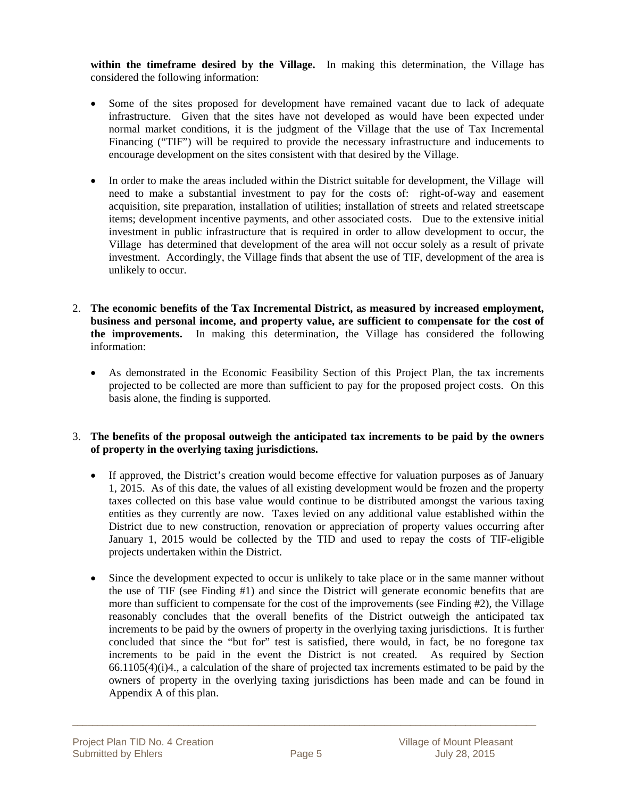**within the timeframe desired by the Village.** In making this determination, the Village has considered the following information:

- Some of the sites proposed for development have remained vacant due to lack of adequate infrastructure. Given that the sites have not developed as would have been expected under normal market conditions, it is the judgment of the Village that the use of Tax Incremental Financing ("TIF") will be required to provide the necessary infrastructure and inducements to encourage development on the sites consistent with that desired by the Village.
- In order to make the areas included within the District suitable for development, the Village will need to make a substantial investment to pay for the costs of: right-of-way and easement acquisition, site preparation, installation of utilities; installation of streets and related streetscape items; development incentive payments, and other associated costs. Due to the extensive initial investment in public infrastructure that is required in order to allow development to occur, the Village has determined that development of the area will not occur solely as a result of private investment. Accordingly, the Village finds that absent the use of TIF, development of the area is unlikely to occur.
- 2. **The economic benefits of the Tax Incremental District, as measured by increased employment, business and personal income, and property value, are sufficient to compensate for the cost of the improvements.** In making this determination, the Village has considered the following information:
	- As demonstrated in the Economic Feasibility Section of this Project Plan, the tax increments projected to be collected are more than sufficient to pay for the proposed project costs. On this basis alone, the finding is supported.

#### 3. **The benefits of the proposal outweigh the anticipated tax increments to be paid by the owners of property in the overlying taxing jurisdictions.**

- If approved, the District's creation would become effective for valuation purposes as of January 1, 2015. As of this date, the values of all existing development would be frozen and the property taxes collected on this base value would continue to be distributed amongst the various taxing entities as they currently are now. Taxes levied on any additional value established within the District due to new construction, renovation or appreciation of property values occurring after January 1, 2015 would be collected by the TID and used to repay the costs of TIF-eligible projects undertaken within the District.
- Since the development expected to occur is unlikely to take place or in the same manner without the use of TIF (see Finding #1) and since the District will generate economic benefits that are more than sufficient to compensate for the cost of the improvements (see Finding #2), the Village reasonably concludes that the overall benefits of the District outweigh the anticipated tax increments to be paid by the owners of property in the overlying taxing jurisdictions. It is further concluded that since the "but for" test is satisfied, there would, in fact, be no foregone tax increments to be paid in the event the District is not created. As required by Section 66.1105(4)(i)4., a calculation of the share of projected tax increments estimated to be paid by the owners of property in the overlying taxing jurisdictions has been made and can be found in Appendix A of this plan.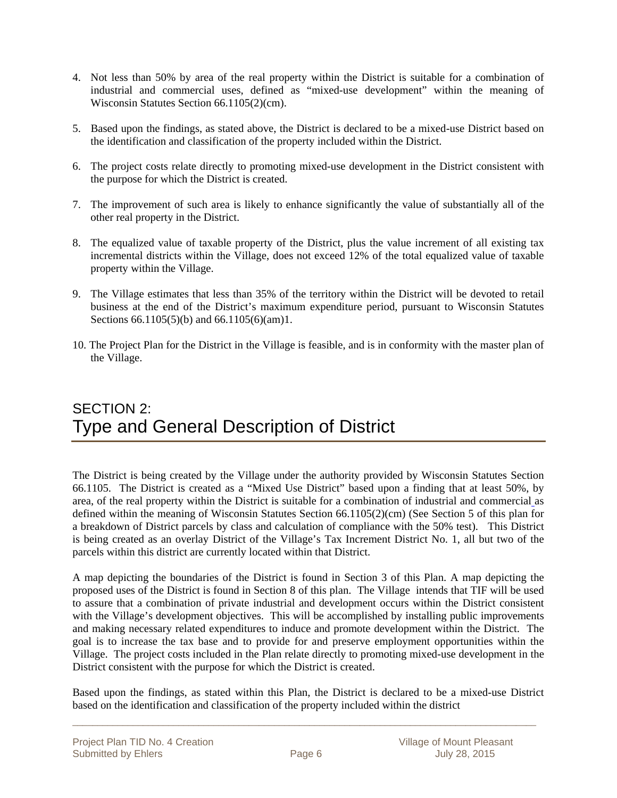- 4. Not less than 50% by area of the real property within the District is suitable for a combination of industrial and commercial uses, defined as "mixed-use development" within the meaning of Wisconsin Statutes Section 66.1105(2)(cm).
- 5. Based upon the findings, as stated above, the District is declared to be a mixed-use District based on the identification and classification of the property included within the District.
- 6. The project costs relate directly to promoting mixed-use development in the District consistent with the purpose for which the District is created.
- 7. The improvement of such area is likely to enhance significantly the value of substantially all of the other real property in the District.
- 8. The equalized value of taxable property of the District, plus the value increment of all existing tax incremental districts within the Village, does not exceed 12% of the total equalized value of taxable property within the Village.
- 9. The Village estimates that less than 35% of the territory within the District will be devoted to retail business at the end of the District's maximum expenditure period, pursuant to Wisconsin Statutes Sections 66.1105(5)(b) and 66.1105(6)(am)1.
- 10. The Project Plan for the District in the Village is feasible, and is in conformity with the master plan of the Village.

# SECTION 2: Type and General Description of District

The District is being created by the Village under the authority provided by Wisconsin Statutes Section 66.1105. The District is created as a "Mixed Use District" based upon a finding that at least 50%, by area, of the real property within the District is suitable for a combination of industrial and commercial as defined within the meaning of Wisconsin Statutes Section 66.1105(2)(cm) (See Section 5 of this plan for a breakdown of District parcels by class and calculation of compliance with the 50% test). This District is being created as an overlay District of the Village's Tax Increment District No. 1, all but two of the parcels within this district are currently located within that District.

A map depicting the boundaries of the District is found in Section 3 of this Plan. A map depicting the proposed uses of the District is found in Section 8 of this plan. The Village intends that TIF will be used to assure that a combination of private industrial and development occurs within the District consistent with the Village's development objectives. This will be accomplished by installing public improvements and making necessary related expenditures to induce and promote development within the District. The goal is to increase the tax base and to provide for and preserve employment opportunities within the Village. The project costs included in the Plan relate directly to promoting mixed-use development in the District consistent with the purpose for which the District is created.

Based upon the findings, as stated within this Plan, the District is declared to be a mixed-use District based on the identification and classification of the property included within the district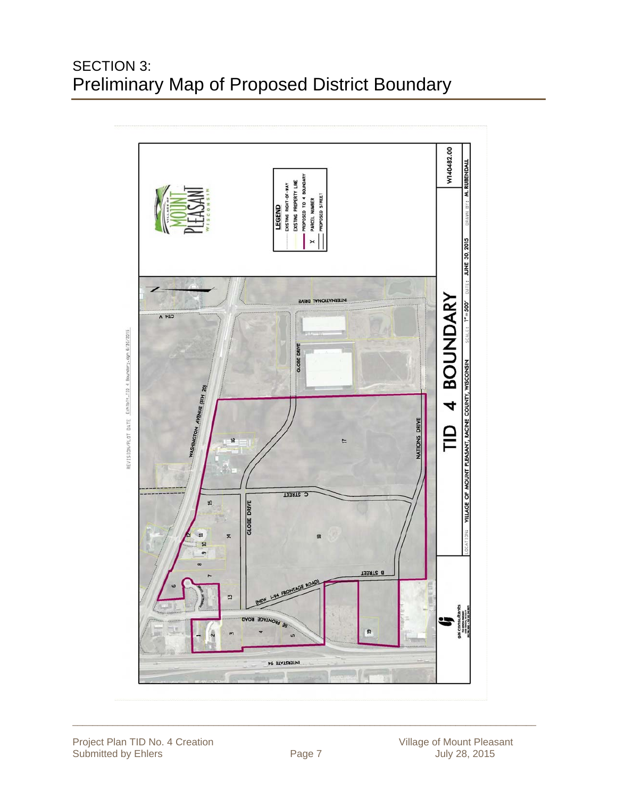# SECTION 3: Preliminary Map of Proposed District Boundary

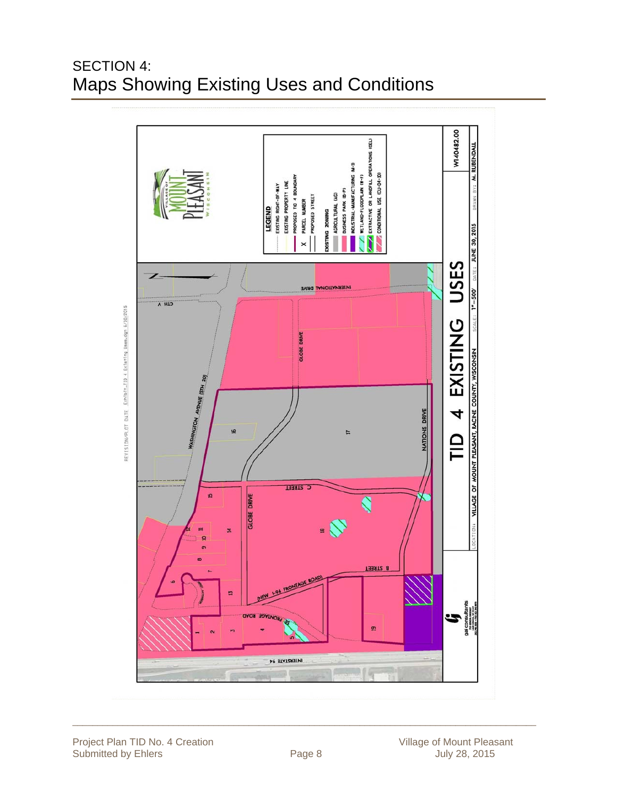# SECTION 4: Maps Showing Existing Uses and Conditions

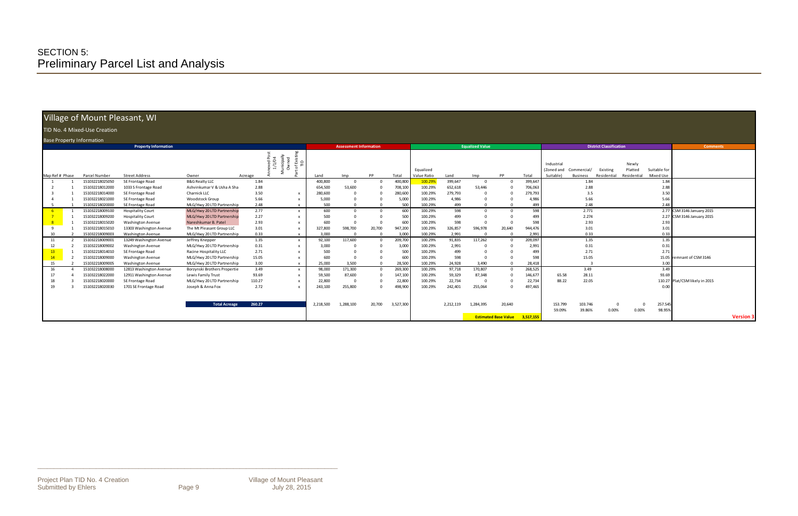\_\_\_\_\_\_\_\_\_\_\_\_\_\_\_\_\_\_\_\_\_\_\_\_\_\_\_\_\_\_\_\_\_\_\_\_\_\_\_\_\_\_\_\_\_\_\_\_\_\_\_\_\_\_\_\_\_\_\_\_\_\_\_\_\_\_\_\_\_\_\_\_\_\_\_\_\_\_\_\_\_\_\_\_\_\_\_\_\_\_\_\_

### Village of Mount Pleasant, WI

#### D No. 4 Mixed-Use Creation

|                 | Village of Mount Pleasant, WI      |                                                     |                                               |              |                                                       |                 |                               |        |                  |                          |                 |                        |                             |                  |                                       |                                |                                |                                 |                           |                                |                  |
|-----------------|------------------------------------|-----------------------------------------------------|-----------------------------------------------|--------------|-------------------------------------------------------|-----------------|-------------------------------|--------|------------------|--------------------------|-----------------|------------------------|-----------------------------|------------------|---------------------------------------|--------------------------------|--------------------------------|---------------------------------|---------------------------|--------------------------------|------------------|
|                 | TID No. 4 Mixed-Use Creation       |                                                     |                                               |              |                                                       |                 |                               |        |                  |                          |                 |                        |                             |                  |                                       |                                |                                |                                 |                           |                                |                  |
|                 | <b>Base Property Information</b>   |                                                     |                                               |              |                                                       |                 |                               |        |                  |                          |                 |                        |                             |                  |                                       |                                |                                |                                 |                           |                                |                  |
|                 |                                    | <b>Property Information</b>                         |                                               |              |                                                       |                 | <b>Assessment Information</b> |        |                  |                          |                 | <b>Equalized Value</b> |                             |                  |                                       |                                | <b>District Classification</b> |                                 |                           | <b>Comments</b>                |                  |
| Map Ref # Phase | Parcel Number                      | <b>Street Address</b>                               | Owner                                         | Acreage      | unicipally<br>Owned<br>exed Pc<br>1/1/04<br>≙ ڱ<br>ঁত | Land            | Imp                           | PP     | Total            | Equalized<br>Value Ratio | Land            | Imp                    | PP                          | Total            | Industrial<br>(Zoned and<br>Suitable) | Commercial/<br><b>Business</b> | Existing<br>Residential        | Newly<br>Platted<br>Residential | Suitable for<br>Mixed Use |                                |                  |
|                 | 151032218025050                    | SE Frontage Road                                    | <b>B&amp;G Realty LLC</b>                     | 1.84         |                                                       | 400,800         |                               |        | 400,800          | 100.29%                  | 399,647         | $\mathbf 0$            | $\Omega$                    | 399,647          |                                       | 1.84                           |                                |                                 | 1.84                      |                                |                  |
|                 | 151032218012000                    | 1033 S Frontage Road                                | Ashvinkumar V & Usha A Sha                    | 2.88         |                                                       | 654,500         | 53,600                        |        | 708,100          | 100.29%                  | 652,618         | 53,446                 |                             | 706,063          |                                       | 2.88                           |                                |                                 | 2.88                      |                                |                  |
|                 | 151032218014000                    | SE Frontage Road                                    | Charnick LLC                                  | 3.50         | X                                                     | 280,600         |                               |        | 280,600          | 100.29%                  | 279,793         | 0                      |                             | 279,793          |                                       | 3.5                            |                                |                                 | 3.50                      |                                |                  |
|                 | 151032218021000                    | SE Frontage Road                                    | <b>Woodstock Group</b>                        | 5.66         | $\boldsymbol{\mathsf{x}}$                             | 5,000           |                               |        | 5,000            | 100.29%                  | 4,986           | $\Omega$               |                             | 4,986            |                                       | 5.66                           |                                |                                 | 5.66                      |                                |                  |
|                 | 51032218020000                     | SE Frontage Road                                    | MLG/Hwy 20 LTD Partnership                    | 2.48         | $\mathbf{x}$                                          | 500             |                               |        | 500              | 100.29%                  | 499             |                        |                             | 499              |                                       | 2.48                           |                                |                                 | 2.48                      |                                |                  |
| -6              | 151032218009100                    | <b>Hospitality Court</b>                            | MLG/Hwy 20 LTD Partnership                    | 2.77         | $\mathsf{x}$                                          | 600             |                               |        | 600              | 100.29%                  | 598             | $\Omega$               | $\Omega$                    | 598              |                                       | 2.771                          |                                |                                 |                           | 2.77 CSM 3146 January 2015     |                  |
|                 | 151032218009200                    | <b>Hospitality Court</b>                            | MLG/Hwy 20 LTD Partnership                    | 2.27         | $\mathsf{x}$                                          | 500             |                               |        | 500              | 100.29%                  | 499             |                        |                             | 499              |                                       | 2.274                          |                                |                                 |                           | 2.27 CSM 3146 January 2015     |                  |
| 8               | 151032218015020                    | <b>Washington Avenue</b>                            | Nareshkumar B. Patel                          | 2.93         | X                                                     | 600             |                               |        | 600              | 100.29%                  | 598             | $\Omega$               |                             | 598              |                                       | 2.93                           |                                |                                 | 2.93                      |                                |                  |
| 9               | 151032218015010                    | 13303 Washington Avenue                             | The Mt Pleasant Group LLC                     | 3.01         | $\times$                                              | 327,800         | 598,700                       | 20,700 | 947,200          | 100.29%                  | 326,857         | 596,978                | 20,640                      | 944,476          |                                       | 3.01                           |                                |                                 | 3.01                      |                                |                  |
| 10              | 51032218009003                     | Washington Avenue                                   | MLG/Hwy 20 LTD Partnership                    | 0.33         | $\mathsf{x}$                                          | 3.000           |                               |        | 3.000            | 100.29%                  | 2,991           | $\Omega$               | $\Omega$<br>$\Omega$        | 2,991            |                                       | 0.33                           |                                |                                 | 0.33                      |                                |                  |
| 11              | 151032218009001<br>151032218009002 | 13249 Washington Avenue<br><b>Washington Avenue</b> | Jeffrey Knepper<br>MLG/Hwy 20 LTD Partnership | 1.35<br>0.31 | $\times$                                              | 92,100<br>3,000 | 117,600                       |        | 209,700<br>3,000 | 100.29%<br>100.29%       | 91,835<br>2,991 | 117,262<br>$\Omega$    |                             | 209,097<br>2,991 |                                       | 1.35<br>0.31                   |                                |                                 | 1.35<br>0.31              |                                |                  |
| 12<br>13        | 151032218014010                    | SE Frontage Road                                    | Racine Hospitality LLC                        | 2.71         | $\mathsf{x}$<br>$\boldsymbol{\mathsf{x}}$             | 500             |                               |        | 500              | 100.29%                  | 499             | $\Omega$               |                             | 499              |                                       | 2.71                           |                                |                                 | 2.71                      |                                |                  |
| 14              | 151032218009000                    | Washington Avenue                                   | MLG/Hwy 20 LTD Partnership                    | 15.05        | $\mathsf{x}$                                          | 600             |                               |        | 600              | 100.29%                  | 598             | $\Omega$               |                             | 598              |                                       | 15.05                          |                                |                                 |                           | 15.05 remnant of CSM 3146      |                  |
| 15              | 151032218009005                    | <b>Washington Avenue</b>                            | MLG/Hwy 20 LTD Partnership                    | 3.00         | $\times$                                              | 25,000          | 3,500                         |        | 28,500           | 100.29%                  | 24,928          | 3,490                  | $\Omega$                    | 28,418           |                                       |                                |                                |                                 | 3.00                      |                                |                  |
| 16              | 151032218008000                    | 12813 Washington Avenue                             | Borzynski Brothers Propertie                  | 3.49         | $\times$                                              | 98,000          | 171,300                       |        | 269,300          | 100.29%                  | 97,718          | 170,807                | $\Omega$                    | 268,525          |                                       | 3.49                           |                                |                                 | 3.49                      |                                |                  |
|                 | 151032218022000                    | 12911 Washington Avenue                             | Lewis Family Trust                            | 93.69        | x                                                     | 59,500          | 87,600                        |        | 147,100          | 100.29%                  | 59,329          | 87,348                 |                             | 146,677          | 65.58                                 | 28.11                          |                                |                                 | 93.69                     |                                |                  |
| 18              | 151032218020000                    | SE Frontage Road                                    | MLG/Hwy 20 LTD Partnership                    | 110.27       | $\times$                                              | 22,800          |                               |        | 22,800           | 100.29%                  | 22,734          | $\mathbf{0}$           |                             | 22,734           | 88.22                                 | 22.05                          |                                |                                 |                           | 110.27 Plat/CSM likely in 2015 |                  |
| 19              | 151032218020030                    | 1701 SE Frontage Road                               | Joseph & Anna Fox                             | 2.72         | $\mathsf{x}$                                          | 243,100         | 255,800                       |        | 498,900          | 100.29%                  | 242,401         | 255,064                | $\Omega$                    | 497,465          |                                       |                                |                                |                                 | 0.00                      |                                |                  |
|                 |                                    |                                                     |                                               |              |                                                       |                 |                               |        |                  |                          |                 |                        |                             |                  |                                       |                                |                                |                                 |                           |                                |                  |
|                 |                                    |                                                     | <b>Total Acreage</b>                          | 260.27       |                                                       | 2,218,500       | 1,288,100                     | 20,700 | 3,527,300        |                          | 2,212,119       | 1,284,395              | 20,640                      |                  | 153.799                               | 103.746                        | $\Omega$                       |                                 | 257.545                   |                                |                  |
|                 |                                    |                                                     |                                               |              |                                                       |                 |                               |        |                  |                          |                 |                        |                             |                  | 59.09%                                | 39.86%                         | 0.00%                          | 0.00%                           | 98.95%                    |                                |                  |
|                 |                                    |                                                     |                                               |              |                                                       |                 |                               |        |                  |                          |                 |                        | <b>Estimated Base Value</b> | 3,517,155        |                                       |                                |                                |                                 |                           |                                | <b>Version 3</b> |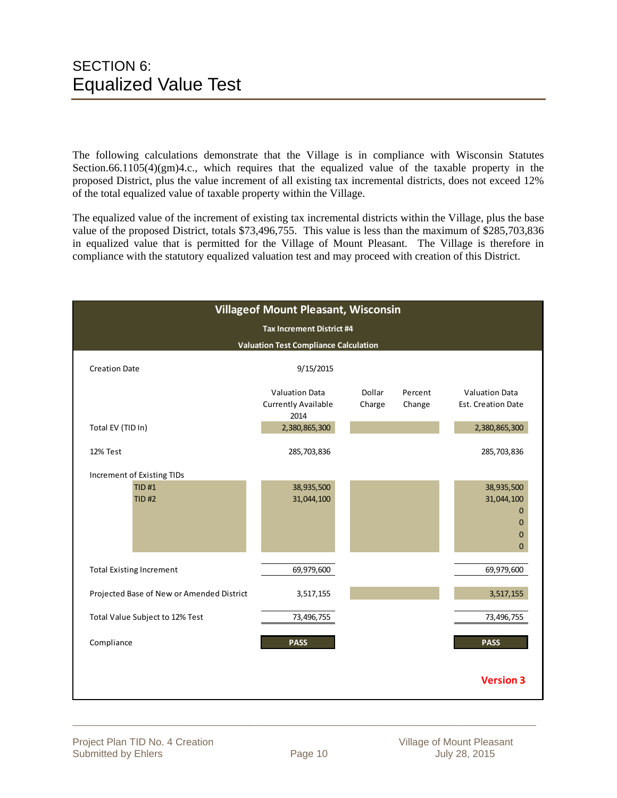The following calculations demonstrate that the Village is in compliance with Wisconsin Statutes Section.66.1105(4)(gm)4.c., which requires that the equalized value of the taxable property in the proposed District, plus the value increment of all existing tax incremental districts, does not exceed 12% of the total equalized value of taxable property within the Village.

The equalized value of the increment of existing tax incremental districts within the Village, plus the base value of the proposed District, totals \$73,496,755. This value is less than the maximum of \$285,703,836 in equalized value that is permitted for the Village of Mount Pleasant. The Village is therefore in compliance with the statutory equalized valuation test and may proceed with creation of this District.

|                                           | <b>Villageof Mount Pleasant, Wisconsin</b>                  |                  |                   |                                                                                          |
|-------------------------------------------|-------------------------------------------------------------|------------------|-------------------|------------------------------------------------------------------------------------------|
|                                           | <b>Tax Increment District #4</b>                            |                  |                   |                                                                                          |
|                                           | <b>Valuation Test Compliance Calculation</b>                |                  |                   |                                                                                          |
| <b>Creation Date</b>                      | 9/15/2015                                                   |                  |                   |                                                                                          |
|                                           | <b>Valuation Data</b><br><b>Currently Available</b><br>2014 | Dollar<br>Charge | Percent<br>Change | <b>Valuation Data</b><br>Est. Creation Date                                              |
| Total EV (TID In)                         | 2,380,865,300                                               |                  |                   | 2,380,865,300                                                                            |
| 12% Test                                  | 285,703,836                                                 |                  |                   | 285,703,836                                                                              |
| Increment of Existing TIDs                |                                                             |                  |                   |                                                                                          |
| <b>TID#1</b><br>TID H2                    | 38,935,500<br>31,044,100                                    |                  |                   | 38,935,500<br>31,044,100<br>$\mathbf{0}$<br>$\mathbf{0}$<br>$\mathbf{0}$<br>$\mathbf{0}$ |
| <b>Total Existing Increment</b>           | 69,979,600                                                  |                  |                   | 69,979,600                                                                               |
| Projected Base of New or Amended District | 3,517,155                                                   |                  |                   | 3,517,155                                                                                |
| Total Value Subject to 12% Test           | 73,496,755                                                  |                  |                   | 73,496,755                                                                               |
| Compliance                                | <b>PASS</b>                                                 |                  |                   | <b>PASS</b>                                                                              |
|                                           |                                                             |                  |                   | <b>Version 3</b>                                                                         |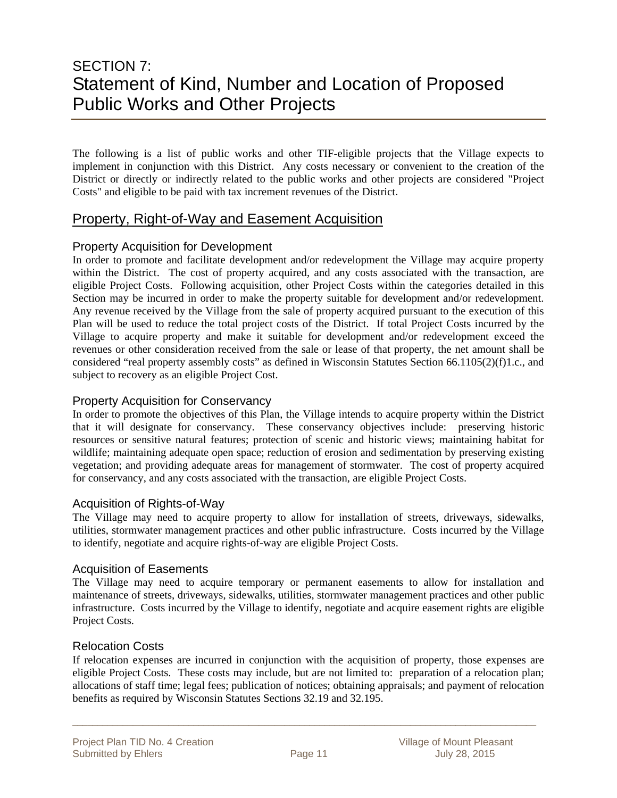# SECTION 7: Statement of Kind, Number and Location of Proposed Public Works and Other Projects

The following is a list of public works and other TIF-eligible projects that the Village expects to implement in conjunction with this District. Any costs necessary or convenient to the creation of the District or directly or indirectly related to the public works and other projects are considered "Project Costs" and eligible to be paid with tax increment revenues of the District.

### Property, Right-of-Way and Easement Acquisition

#### Property Acquisition for Development

In order to promote and facilitate development and/or redevelopment the Village may acquire property within the District. The cost of property acquired, and any costs associated with the transaction, are eligible Project Costs. Following acquisition, other Project Costs within the categories detailed in this Section may be incurred in order to make the property suitable for development and/or redevelopment. Any revenue received by the Village from the sale of property acquired pursuant to the execution of this Plan will be used to reduce the total project costs of the District. If total Project Costs incurred by the Village to acquire property and make it suitable for development and/or redevelopment exceed the revenues or other consideration received from the sale or lease of that property, the net amount shall be considered "real property assembly costs" as defined in Wisconsin Statutes Section 66.1105(2)(f)1.c., and subject to recovery as an eligible Project Cost.

#### Property Acquisition for Conservancy

In order to promote the objectives of this Plan, the Village intends to acquire property within the District that it will designate for conservancy. These conservancy objectives include: preserving historic resources or sensitive natural features; protection of scenic and historic views; maintaining habitat for wildlife; maintaining adequate open space; reduction of erosion and sedimentation by preserving existing vegetation; and providing adequate areas for management of stormwater. The cost of property acquired for conservancy, and any costs associated with the transaction, are eligible Project Costs.

#### Acquisition of Rights-of-Way

The Village may need to acquire property to allow for installation of streets, driveways, sidewalks, utilities, stormwater management practices and other public infrastructure. Costs incurred by the Village to identify, negotiate and acquire rights-of-way are eligible Project Costs.

#### Acquisition of Easements

The Village may need to acquire temporary or permanent easements to allow for installation and maintenance of streets, driveways, sidewalks, utilities, stormwater management practices and other public infrastructure. Costs incurred by the Village to identify, negotiate and acquire easement rights are eligible Project Costs.

#### Relocation Costs

If relocation expenses are incurred in conjunction with the acquisition of property, those expenses are eligible Project Costs. These costs may include, but are not limited to: preparation of a relocation plan; allocations of staff time; legal fees; publication of notices; obtaining appraisals; and payment of relocation benefits as required by Wisconsin Statutes Sections 32.19 and 32.195.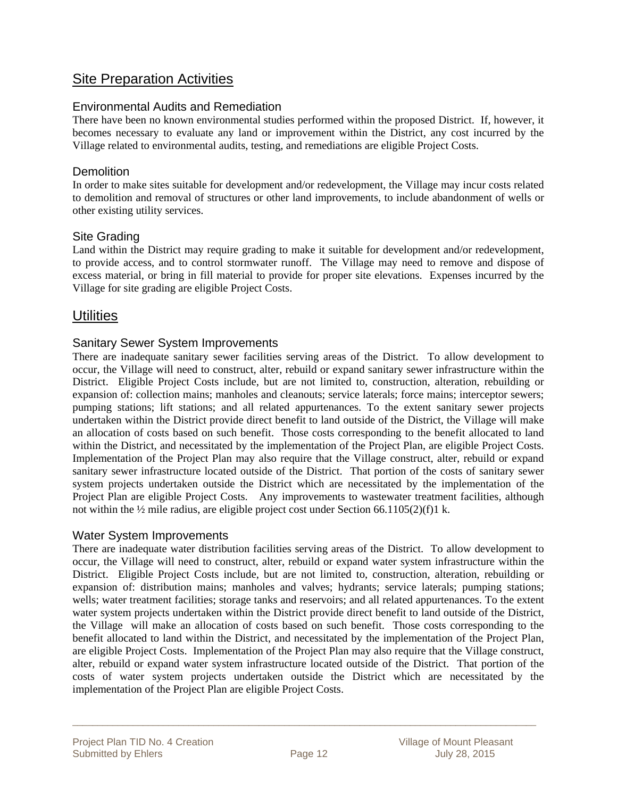### Site Preparation Activities

#### Environmental Audits and Remediation

There have been no known environmental studies performed within the proposed District. If, however, it becomes necessary to evaluate any land or improvement within the District, any cost incurred by the Village related to environmental audits, testing, and remediations are eligible Project Costs.

#### **Demolition**

In order to make sites suitable for development and/or redevelopment, the Village may incur costs related to demolition and removal of structures or other land improvements, to include abandonment of wells or other existing utility services.

#### Site Grading

Land within the District may require grading to make it suitable for development and/or redevelopment, to provide access, and to control stormwater runoff. The Village may need to remove and dispose of excess material, or bring in fill material to provide for proper site elevations. Expenses incurred by the Village for site grading are eligible Project Costs.

### **Utilities**

#### Sanitary Sewer System Improvements

There are inadequate sanitary sewer facilities serving areas of the District. To allow development to occur, the Village will need to construct, alter, rebuild or expand sanitary sewer infrastructure within the District. Eligible Project Costs include, but are not limited to, construction, alteration, rebuilding or expansion of: collection mains; manholes and cleanouts; service laterals; force mains; interceptor sewers; pumping stations; lift stations; and all related appurtenances. To the extent sanitary sewer projects undertaken within the District provide direct benefit to land outside of the District, the Village will make an allocation of costs based on such benefit. Those costs corresponding to the benefit allocated to land within the District, and necessitated by the implementation of the Project Plan, are eligible Project Costs. Implementation of the Project Plan may also require that the Village construct, alter, rebuild or expand sanitary sewer infrastructure located outside of the District. That portion of the costs of sanitary sewer system projects undertaken outside the District which are necessitated by the implementation of the Project Plan are eligible Project Costs. Any improvements to wastewater treatment facilities, although not within the ½ mile radius, are eligible project cost under Section 66.1105(2)(f)1 k.

#### Water System Improvements

There are inadequate water distribution facilities serving areas of the District. To allow development to occur, the Village will need to construct, alter, rebuild or expand water system infrastructure within the District. Eligible Project Costs include, but are not limited to, construction, alteration, rebuilding or expansion of: distribution mains; manholes and valves; hydrants; service laterals; pumping stations; wells; water treatment facilities; storage tanks and reservoirs; and all related appurtenances. To the extent water system projects undertaken within the District provide direct benefit to land outside of the District, the Village will make an allocation of costs based on such benefit. Those costs corresponding to the benefit allocated to land within the District, and necessitated by the implementation of the Project Plan, are eligible Project Costs. Implementation of the Project Plan may also require that the Village construct, alter, rebuild or expand water system infrastructure located outside of the District. That portion of the costs of water system projects undertaken outside the District which are necessitated by the implementation of the Project Plan are eligible Project Costs.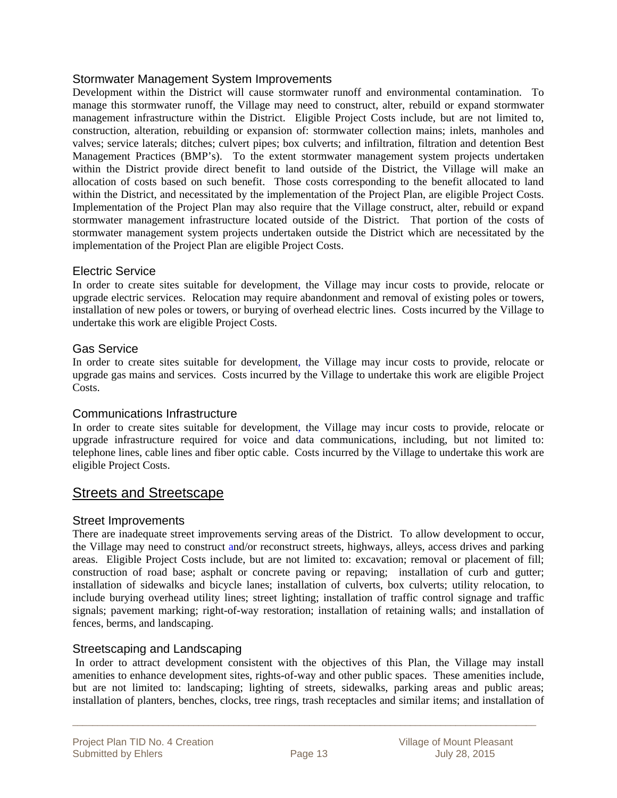#### Stormwater Management System Improvements

Development within the District will cause stormwater runoff and environmental contamination. To manage this stormwater runoff, the Village may need to construct, alter, rebuild or expand stormwater management infrastructure within the District. Eligible Project Costs include, but are not limited to, construction, alteration, rebuilding or expansion of: stormwater collection mains; inlets, manholes and valves; service laterals; ditches; culvert pipes; box culverts; and infiltration, filtration and detention Best Management Practices (BMP's). To the extent stormwater management system projects undertaken within the District provide direct benefit to land outside of the District, the Village will make an allocation of costs based on such benefit. Those costs corresponding to the benefit allocated to land within the District, and necessitated by the implementation of the Project Plan, are eligible Project Costs. Implementation of the Project Plan may also require that the Village construct, alter, rebuild or expand stormwater management infrastructure located outside of the District. That portion of the costs of stormwater management system projects undertaken outside the District which are necessitated by the implementation of the Project Plan are eligible Project Costs.

#### Electric Service

In order to create sites suitable for development, the Village may incur costs to provide, relocate or upgrade electric services. Relocation may require abandonment and removal of existing poles or towers, installation of new poles or towers, or burying of overhead electric lines. Costs incurred by the Village to undertake this work are eligible Project Costs.

#### Gas Service

In order to create sites suitable for development, the Village may incur costs to provide, relocate or upgrade gas mains and services. Costs incurred by the Village to undertake this work are eligible Project Costs.

#### Communications Infrastructure

In order to create sites suitable for development, the Village may incur costs to provide, relocate or upgrade infrastructure required for voice and data communications, including, but not limited to: telephone lines, cable lines and fiber optic cable. Costs incurred by the Village to undertake this work are eligible Project Costs.

### Streets and Streetscape

#### Street Improvements

There are inadequate street improvements serving areas of the District. To allow development to occur, the Village may need to construct and/or reconstruct streets, highways, alleys, access drives and parking areas. Eligible Project Costs include, but are not limited to: excavation; removal or placement of fill; construction of road base; asphalt or concrete paving or repaving; installation of curb and gutter; installation of sidewalks and bicycle lanes; installation of culverts, box culverts; utility relocation, to include burying overhead utility lines; street lighting; installation of traffic control signage and traffic signals; pavement marking; right-of-way restoration; installation of retaining walls; and installation of fences, berms, and landscaping.

#### Streetscaping and Landscaping

 In order to attract development consistent with the objectives of this Plan, the Village may install amenities to enhance development sites, rights-of-way and other public spaces. These amenities include, but are not limited to: landscaping; lighting of streets, sidewalks, parking areas and public areas; installation of planters, benches, clocks, tree rings, trash receptacles and similar items; and installation of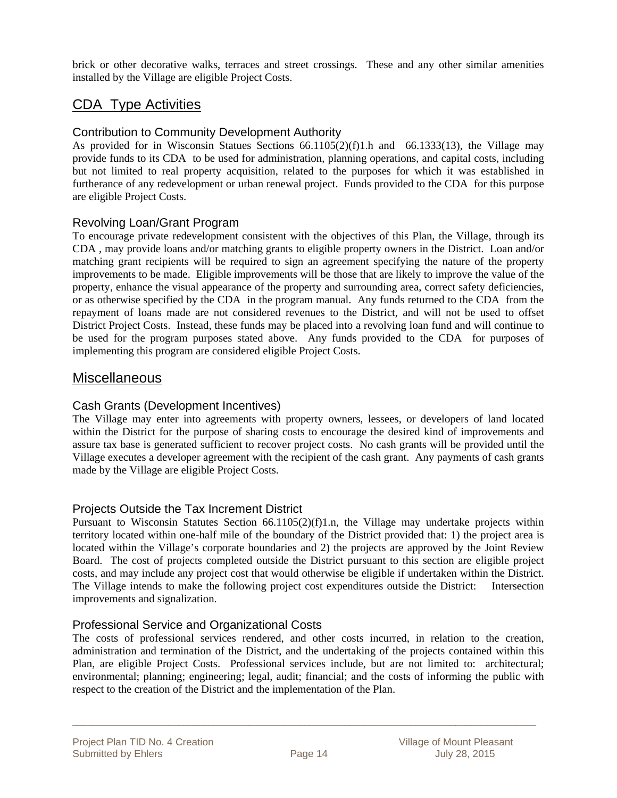brick or other decorative walks, terraces and street crossings. These and any other similar amenities installed by the Village are eligible Project Costs.

### CDA Type Activities

#### Contribution to Community Development Authority

As provided for in Wisconsin Statues Sections 66.1105(2)(f)1.h and 66.1333(13), the Village may provide funds to its CDA to be used for administration, planning operations, and capital costs, including but not limited to real property acquisition, related to the purposes for which it was established in furtherance of any redevelopment or urban renewal project. Funds provided to the CDA for this purpose are eligible Project Costs.

#### Revolving Loan/Grant Program

To encourage private redevelopment consistent with the objectives of this Plan, the Village, through its CDA , may provide loans and/or matching grants to eligible property owners in the District. Loan and/or matching grant recipients will be required to sign an agreement specifying the nature of the property improvements to be made. Eligible improvements will be those that are likely to improve the value of the property, enhance the visual appearance of the property and surrounding area, correct safety deficiencies, or as otherwise specified by the CDA in the program manual. Any funds returned to the CDA from the repayment of loans made are not considered revenues to the District, and will not be used to offset District Project Costs. Instead, these funds may be placed into a revolving loan fund and will continue to be used for the program purposes stated above. Any funds provided to the CDA for purposes of implementing this program are considered eligible Project Costs.

### Miscellaneous

#### Cash Grants (Development Incentives)

The Village may enter into agreements with property owners, lessees, or developers of land located within the District for the purpose of sharing costs to encourage the desired kind of improvements and assure tax base is generated sufficient to recover project costs. No cash grants will be provided until the Village executes a developer agreement with the recipient of the cash grant. Any payments of cash grants made by the Village are eligible Project Costs.

#### Projects Outside the Tax Increment District

Pursuant to Wisconsin Statutes Section 66.1105(2)(f)1.n, the Village may undertake projects within territory located within one-half mile of the boundary of the District provided that: 1) the project area is located within the Village's corporate boundaries and 2) the projects are approved by the Joint Review Board. The cost of projects completed outside the District pursuant to this section are eligible project costs, and may include any project cost that would otherwise be eligible if undertaken within the District. The Village intends to make the following project cost expenditures outside the District: Intersection improvements and signalization.

#### Professional Service and Organizational Costs

The costs of professional services rendered, and other costs incurred, in relation to the creation, administration and termination of the District, and the undertaking of the projects contained within this Plan, are eligible Project Costs. Professional services include, but are not limited to: architectural; environmental; planning; engineering; legal, audit; financial; and the costs of informing the public with respect to the creation of the District and the implementation of the Plan.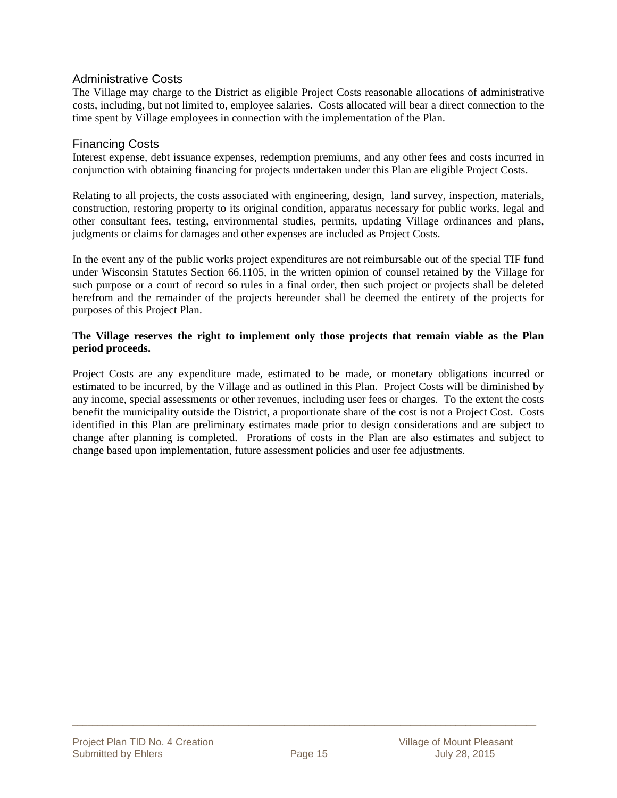#### Administrative Costs

The Village may charge to the District as eligible Project Costs reasonable allocations of administrative costs, including, but not limited to, employee salaries. Costs allocated will bear a direct connection to the time spent by Village employees in connection with the implementation of the Plan.

#### Financing Costs

Interest expense, debt issuance expenses, redemption premiums, and any other fees and costs incurred in conjunction with obtaining financing for projects undertaken under this Plan are eligible Project Costs.

Relating to all projects, the costs associated with engineering, design, land survey, inspection, materials, construction, restoring property to its original condition, apparatus necessary for public works, legal and other consultant fees, testing, environmental studies, permits, updating Village ordinances and plans, judgments or claims for damages and other expenses are included as Project Costs.

In the event any of the public works project expenditures are not reimbursable out of the special TIF fund under Wisconsin Statutes Section 66.1105, in the written opinion of counsel retained by the Village for such purpose or a court of record so rules in a final order, then such project or projects shall be deleted herefrom and the remainder of the projects hereunder shall be deemed the entirety of the projects for purposes of this Project Plan.

#### **The Village reserves the right to implement only those projects that remain viable as the Plan period proceeds.**

Project Costs are any expenditure made, estimated to be made, or monetary obligations incurred or estimated to be incurred, by the Village and as outlined in this Plan. Project Costs will be diminished by any income, special assessments or other revenues, including user fees or charges. To the extent the costs benefit the municipality outside the District, a proportionate share of the cost is not a Project Cost. Costs identified in this Plan are preliminary estimates made prior to design considerations and are subject to change after planning is completed. Prorations of costs in the Plan are also estimates and subject to change based upon implementation, future assessment policies and user fee adjustments.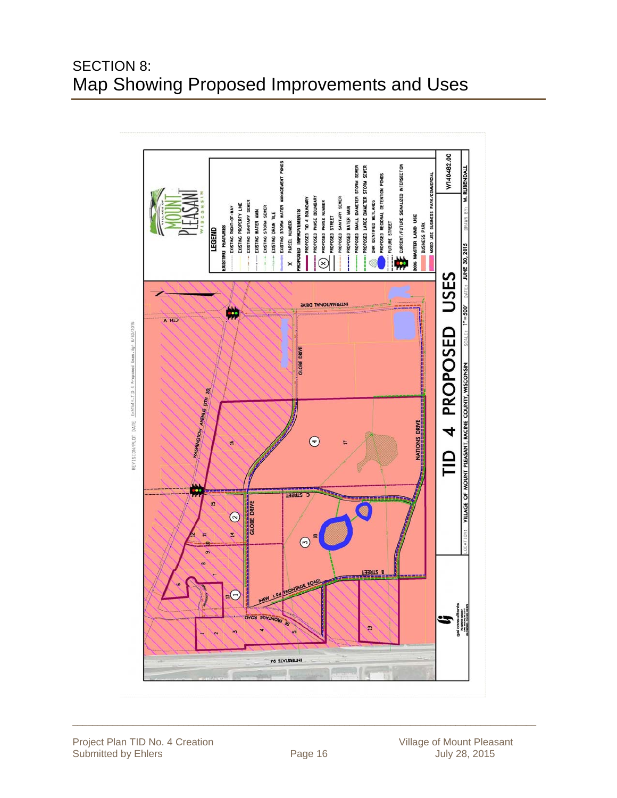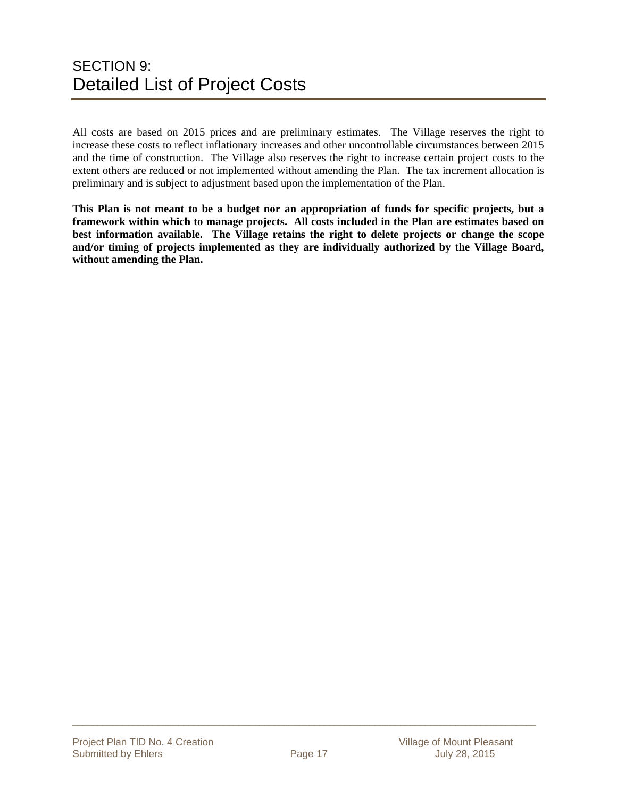# SECTION 9: Detailed List of Project Costs

All costs are based on 2015 prices and are preliminary estimates. The Village reserves the right to increase these costs to reflect inflationary increases and other uncontrollable circumstances between 2015 and the time of construction. The Village also reserves the right to increase certain project costs to the extent others are reduced or not implemented without amending the Plan. The tax increment allocation is preliminary and is subject to adjustment based upon the implementation of the Plan.

**This Plan is not meant to be a budget nor an appropriation of funds for specific projects, but a framework within which to manage projects. All costs included in the Plan are estimates based on best information available. The Village retains the right to delete projects or change the scope and/or timing of projects implemented as they are individually authorized by the Village Board, without amending the Plan.**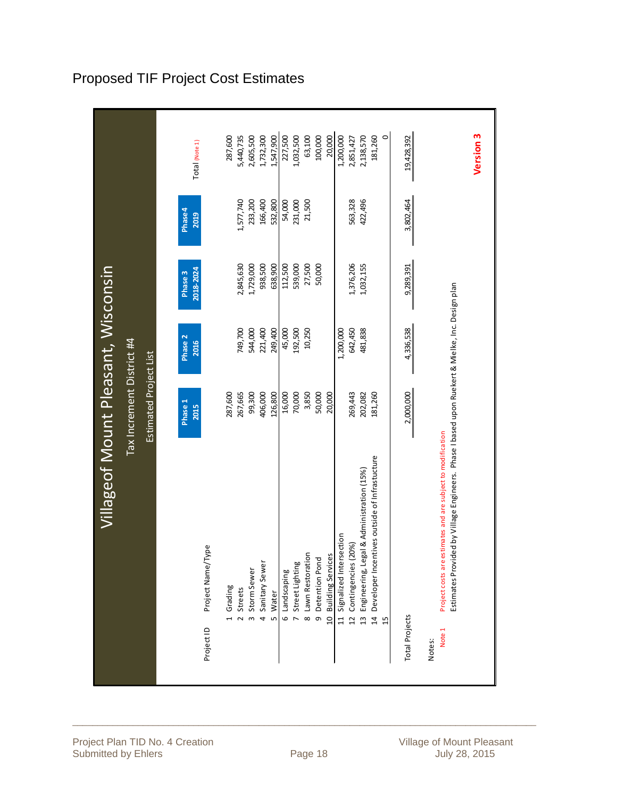|                                                                                                                                                                                   | Villageof Mount Pleasant, Wisconsin |                           |                    |                        |                      |                        |
|-----------------------------------------------------------------------------------------------------------------------------------------------------------------------------------|-------------------------------------|---------------------------|--------------------|------------------------|----------------------|------------------------|
|                                                                                                                                                                                   |                                     | Tax Increment District #4 |                    |                        |                      |                        |
|                                                                                                                                                                                   |                                     | Estimated Project List    |                    |                        |                      |                        |
|                                                                                                                                                                                   |                                     | Phase 1<br><b>2015</b>    | Phase 2<br>2016    | 2018-2024<br>Phase 3   | Phase4<br>2019       | Total (Note 1)         |
| Project Name/Type<br>Project ID                                                                                                                                                   |                                     |                           |                    |                        |                      |                        |
| Grading<br>$\overline{a}$                                                                                                                                                         |                                     | 287,600                   |                    |                        |                      | 287,600                |
| Storm Sewer<br><b>Streets</b><br>$\omega$<br>$\overline{a}$                                                                                                                       |                                     | 99,300<br>267,665         | 544,000<br>749,700 | 1,729,000<br>2,845,630 | 233,200<br>1,577,740 | 5,440,735<br>2,605,500 |
| Sanitary Sewer<br>$\overline{a}$                                                                                                                                                  |                                     | 406,000                   | 221,400            | 938,500                | 166,400              | 1,732,300              |
| Water<br>Lŋ                                                                                                                                                                       |                                     | 126,800                   | 249,400            | 638,900                | 532,800              | 1,547,900              |
| 6 Landscaping                                                                                                                                                                     |                                     | 16,000                    | 45,000             | 112,500                | 54,000               | 227,500                |
| 7 Street Lighting                                                                                                                                                                 |                                     | 70,000                    | 192,500            | 539,000                | 231,000              | 1,032,500              |
| 8 Lawn Restoration                                                                                                                                                                |                                     | 3,850                     | 10,250             | 27,500                 | 21,500               | 63,100                 |
| Detention Pond<br>$\sigma$                                                                                                                                                        |                                     | 50,000                    |                    | 50,000                 |                      | 100,000                |
| 10 Building Services                                                                                                                                                              |                                     | 20,000                    |                    |                        |                      | 20,000                 |
| 11 Signalized Intersection                                                                                                                                                        |                                     |                           | 1,200,000          |                        |                      | 1,200,000              |
| Contingencies (20%)<br>$\overline{12}$                                                                                                                                            |                                     | 269,443                   | 642,450            | 1,376,206              | 563,328              | 2,851,427              |
| Engineering, Legal & Administration (15%)<br>$\frac{3}{2}$                                                                                                                        |                                     | 202,082                   | 481,838            | 1,032,155              | 422,496              | 2,138,570              |
| Developer Incentives outside of Infrastucture<br>$\ddot{a}$                                                                                                                       |                                     | 181,260                   |                    |                        |                      | $\circ$<br>181,260     |
| <b>Total Projects</b>                                                                                                                                                             |                                     | 2,000,000                 | 4,336,538          | 9,289,391              | 3,802,464            | 19,428,392             |
| Estimates Provided by Village Engineers. Phase I based upon Ruekert & Mielke, Inc. Design plan<br>Project costs are estimates and are subject to modification<br>Note 1<br>Notes: |                                     |                           |                    |                        |                      |                        |
|                                                                                                                                                                                   |                                     |                           |                    |                        |                      | Version 3              |
|                                                                                                                                                                                   |                                     |                           |                    |                        |                      |                        |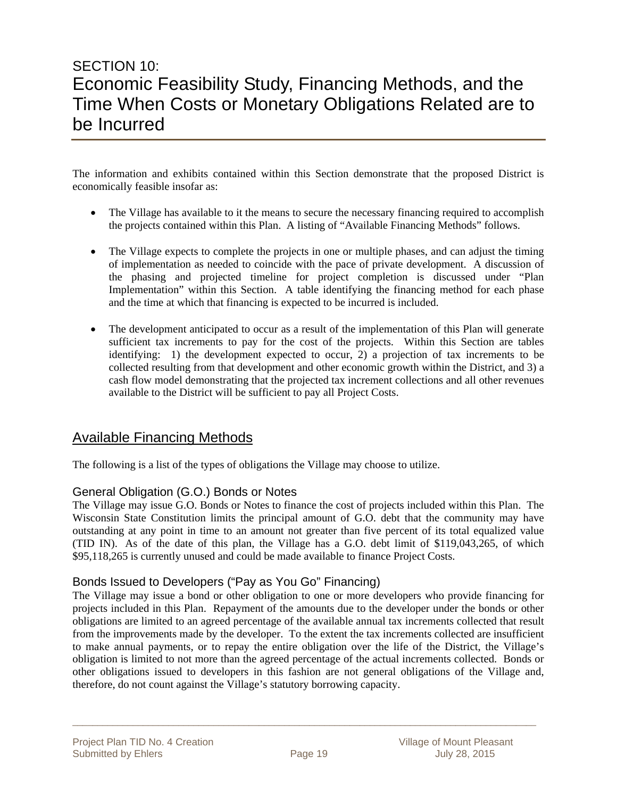# SECTION 10: Economic Feasibility Study, Financing Methods, and the Time When Costs or Monetary Obligations Related are to be Incurred

The information and exhibits contained within this Section demonstrate that the proposed District is economically feasible insofar as:

- The Village has available to it the means to secure the necessary financing required to accomplish the projects contained within this Plan. A listing of "Available Financing Methods" follows.
- The Village expects to complete the projects in one or multiple phases, and can adjust the timing of implementation as needed to coincide with the pace of private development. A discussion of the phasing and projected timeline for project completion is discussed under "Plan Implementation" within this Section. A table identifying the financing method for each phase and the time at which that financing is expected to be incurred is included.
- The development anticipated to occur as a result of the implementation of this Plan will generate sufficient tax increments to pay for the cost of the projects. Within this Section are tables identifying: 1) the development expected to occur, 2) a projection of tax increments to be collected resulting from that development and other economic growth within the District, and 3) a cash flow model demonstrating that the projected tax increment collections and all other revenues available to the District will be sufficient to pay all Project Costs.

### Available Financing Methods

The following is a list of the types of obligations the Village may choose to utilize.

#### General Obligation (G.O.) Bonds or Notes

The Village may issue G.O. Bonds or Notes to finance the cost of projects included within this Plan. The Wisconsin State Constitution limits the principal amount of G.O. debt that the community may have outstanding at any point in time to an amount not greater than five percent of its total equalized value (TID IN). As of the date of this plan, the Village has a G.O. debt limit of \$119,043,265, of which \$95,118,265 is currently unused and could be made available to finance Project Costs.

#### Bonds Issued to Developers ("Pay as You Go" Financing)

The Village may issue a bond or other obligation to one or more developers who provide financing for projects included in this Plan. Repayment of the amounts due to the developer under the bonds or other obligations are limited to an agreed percentage of the available annual tax increments collected that result from the improvements made by the developer. To the extent the tax increments collected are insufficient to make annual payments, or to repay the entire obligation over the life of the District, the Village's obligation is limited to not more than the agreed percentage of the actual increments collected. Bonds or other obligations issued to developers in this fashion are not general obligations of the Village and, therefore, do not count against the Village's statutory borrowing capacity.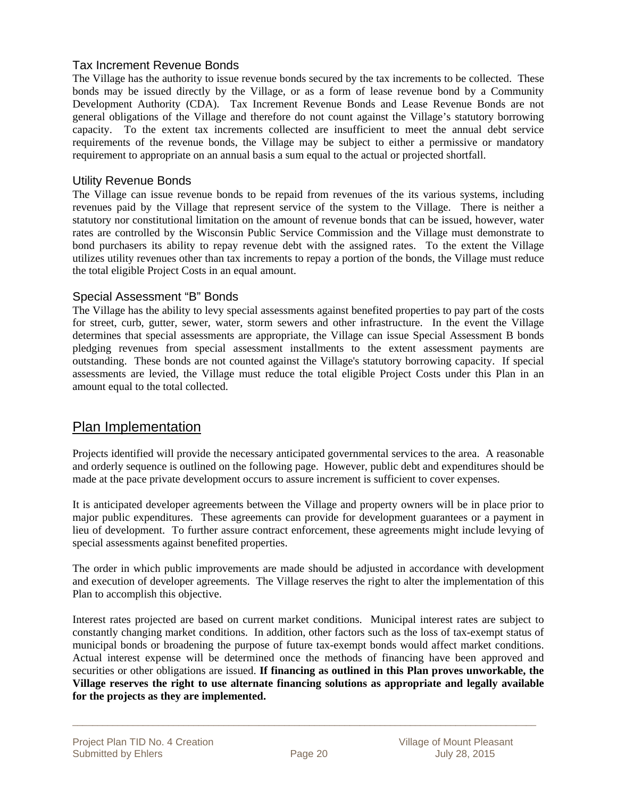#### Tax Increment Revenue Bonds

The Village has the authority to issue revenue bonds secured by the tax increments to be collected. These bonds may be issued directly by the Village, or as a form of lease revenue bond by a Community Development Authority (CDA). Tax Increment Revenue Bonds and Lease Revenue Bonds are not general obligations of the Village and therefore do not count against the Village's statutory borrowing capacity. To the extent tax increments collected are insufficient to meet the annual debt service requirements of the revenue bonds, the Village may be subject to either a permissive or mandatory requirement to appropriate on an annual basis a sum equal to the actual or projected shortfall.

#### Utility Revenue Bonds

The Village can issue revenue bonds to be repaid from revenues of the its various systems, including revenues paid by the Village that represent service of the system to the Village. There is neither a statutory nor constitutional limitation on the amount of revenue bonds that can be issued, however, water rates are controlled by the Wisconsin Public Service Commission and the Village must demonstrate to bond purchasers its ability to repay revenue debt with the assigned rates. To the extent the Village utilizes utility revenues other than tax increments to repay a portion of the bonds, the Village must reduce the total eligible Project Costs in an equal amount.

#### Special Assessment "B" Bonds

The Village has the ability to levy special assessments against benefited properties to pay part of the costs for street, curb, gutter, sewer, water, storm sewers and other infrastructure. In the event the Village determines that special assessments are appropriate, the Village can issue Special Assessment B bonds pledging revenues from special assessment installments to the extent assessment payments are outstanding. These bonds are not counted against the Village's statutory borrowing capacity. If special assessments are levied, the Village must reduce the total eligible Project Costs under this Plan in an amount equal to the total collected.

### Plan Implementation

Projects identified will provide the necessary anticipated governmental services to the area. A reasonable and orderly sequence is outlined on the following page. However, public debt and expenditures should be made at the pace private development occurs to assure increment is sufficient to cover expenses.

It is anticipated developer agreements between the Village and property owners will be in place prior to major public expenditures. These agreements can provide for development guarantees or a payment in lieu of development. To further assure contract enforcement, these agreements might include levying of special assessments against benefited properties.

The order in which public improvements are made should be adjusted in accordance with development and execution of developer agreements. The Village reserves the right to alter the implementation of this Plan to accomplish this objective.

Interest rates projected are based on current market conditions. Municipal interest rates are subject to constantly changing market conditions. In addition, other factors such as the loss of tax-exempt status of municipal bonds or broadening the purpose of future tax-exempt bonds would affect market conditions. Actual interest expense will be determined once the methods of financing have been approved and securities or other obligations are issued. **If financing as outlined in this Plan proves unworkable, the Village reserves the right to use alternate financing solutions as appropriate and legally available for the projects as they are implemented.**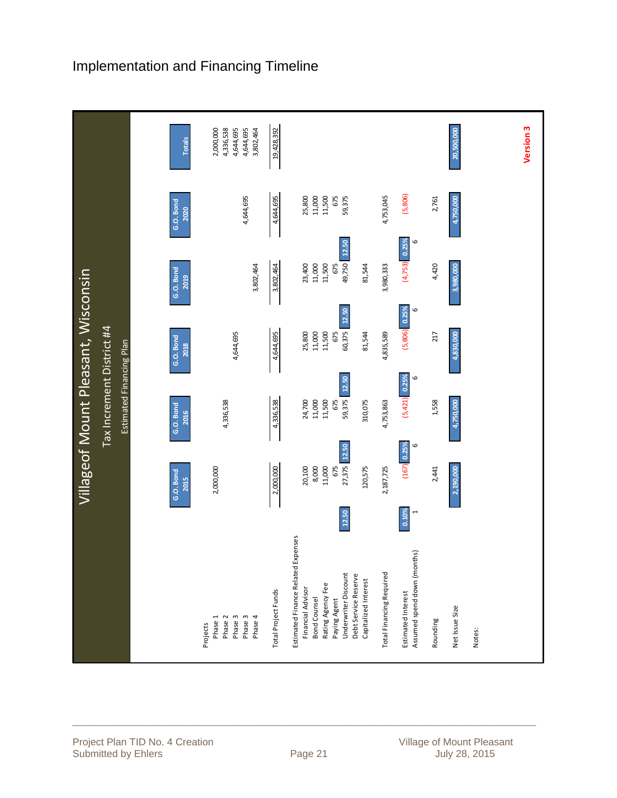

## Implementation and Financing Timeline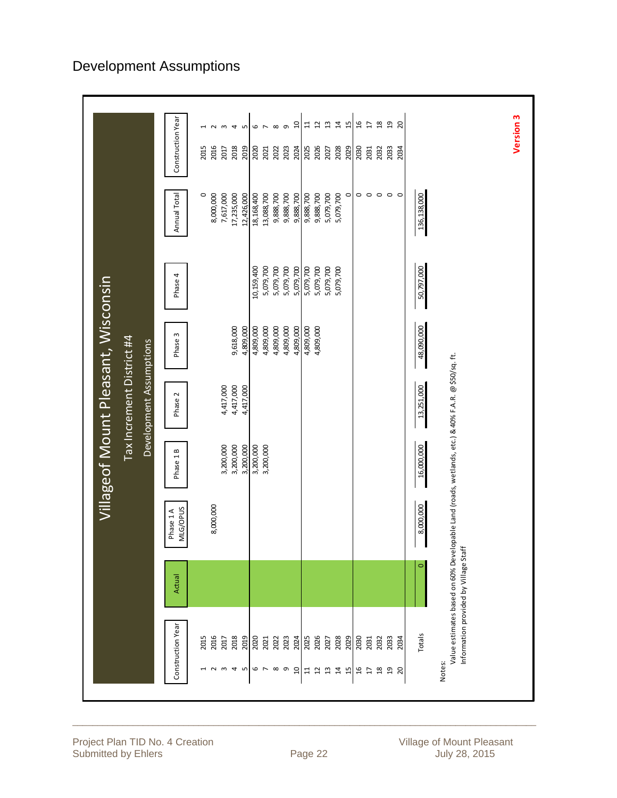|                                      |         |                                                                                                   | Villageof Mount Pleasant, Wisconsin |                           |            |            |                         |                   |                          |
|--------------------------------------|---------|---------------------------------------------------------------------------------------------------|-------------------------------------|---------------------------|------------|------------|-------------------------|-------------------|--------------------------|
|                                      |         |                                                                                                   |                                     | Tax Increment District #4 |            |            |                         |                   |                          |
|                                      |         |                                                                                                   |                                     | Development Assumptions   |            |            |                         |                   |                          |
| Construction Year                    | Actual  | MLG/OPUS<br>Phase 1A                                                                              | Phase 1B                            | Phase 2                   | Phase 3    | Phase 4    | Annual Total            | Construction Year |                          |
| 2015<br>$\overline{\phantom{0}}$     |         |                                                                                                   |                                     |                           |            |            | $\circ$                 | 2015              | $\mathord{\text{--}}$    |
| 2016                                 |         | 8,000,000                                                                                         |                                     |                           |            |            | 8,000,000               | 2016              | $\sim$                   |
| 2018<br>2017                         |         |                                                                                                   | 3,200,000<br>3,200,000              | 4,417,000<br>4,417,000    | 9,618,000  |            | 7,617,000<br>17,235,000 | 2018<br>2017      | $\mathbf{\hat{z}}$<br>4  |
| 2019                                 |         |                                                                                                   | 3,200,000                           | 4,417,000                 | 4,809,000  |            | 12,426,000              | 2019              | LO                       |
| 2020                                 |         |                                                                                                   | 3,200,000                           |                           | 4,809,000  | 10,159,400 | 18,168,400              | 2020              | 6                        |
| 2021<br>$0 \wedge 00$                |         |                                                                                                   | 3,200,000                           |                           | 4,809,000  | 5,079,700  | 13,088,700              | 2021              | $\overline{\phantom{a}}$ |
| 2022                                 |         |                                                                                                   |                                     |                           | 4,809,000  | 5,079,700  | 9,888,700               | 2022              | $\infty$                 |
| 2023                                 |         |                                                                                                   |                                     |                           | 4,809,000  | 5,079,700  | 9,888,700               | 2023              | $\sigma$                 |
| 2024<br>$\overline{\mathfrak{a}}$    |         |                                                                                                   |                                     |                           | 4,809,000  | 5,079,700  | 9,888,700               | 2024              | ຊ                        |
| 2025<br>11                           |         |                                                                                                   |                                     |                           | 4,809,000  | 5,079,700  | 9,888,700               | 2025              | $\mathbf{1}$             |
| 2026<br>$12$ $13$                    |         |                                                                                                   |                                     |                           | 4,809,000  | 5,079,700  | 9,888,700               | 2026              | $\overline{12}$          |
| 2027                                 |         |                                                                                                   |                                     |                           |            | 5,079,700  | 5,079,700               | 2027              | $\overline{13}$          |
| 2028<br>14                           |         |                                                                                                   |                                     |                           |            | 5,079,700  | 5,079,700               | 2028              | $\overline{1}$           |
| 2029<br>15                           |         |                                                                                                   |                                     |                           |            |            | $\circ$                 | 2029              | 15                       |
| 2030<br>16                           |         |                                                                                                   |                                     |                           |            |            | $\circ$                 | 2030              | $\overline{a}$           |
| 2031<br>$\overline{1}$               |         |                                                                                                   |                                     |                           |            |            | $\circ$ $\circ$         | 2031              | $\overline{\mathbb{L}}$  |
| 2032<br>$18\,$                       |         |                                                                                                   |                                     |                           |            |            |                         | 2032              | $^{28}$                  |
| 2033<br>$\overline{a}$               |         |                                                                                                   |                                     |                           |            |            | $\circ$                 | 2033              | $\mathfrak{g}$           |
| 2034<br>20                           |         |                                                                                                   |                                     |                           |            |            | $\circ$                 | 2034              | $\overline{c}$           |
| Totals                               | $\circ$ | 8,000,000                                                                                         | 16,000,000                          | 13,251,000                | 48,090,000 | 50,797,000 | 136,138,000             |                   |                          |
| Notes:                               |         |                                                                                                   |                                     |                           |            |            |                         |                   |                          |
| Information provided by Village Staf |         | Value estimates based on 60% Developable Land (roads, wetlands, etc.) & 40% F.A.R. @ \$50/sq. ft. |                                     |                           |            |            |                         |                   |                          |
|                                      |         |                                                                                                   |                                     |                           |            |            |                         |                   |                          |
|                                      |         |                                                                                                   |                                     |                           |            |            |                         |                   |                          |
|                                      |         |                                                                                                   |                                     |                           |            |            |                         | Version 3         |                          |
|                                      |         |                                                                                                   |                                     |                           |            |            |                         |                   |                          |

# Development Assumptions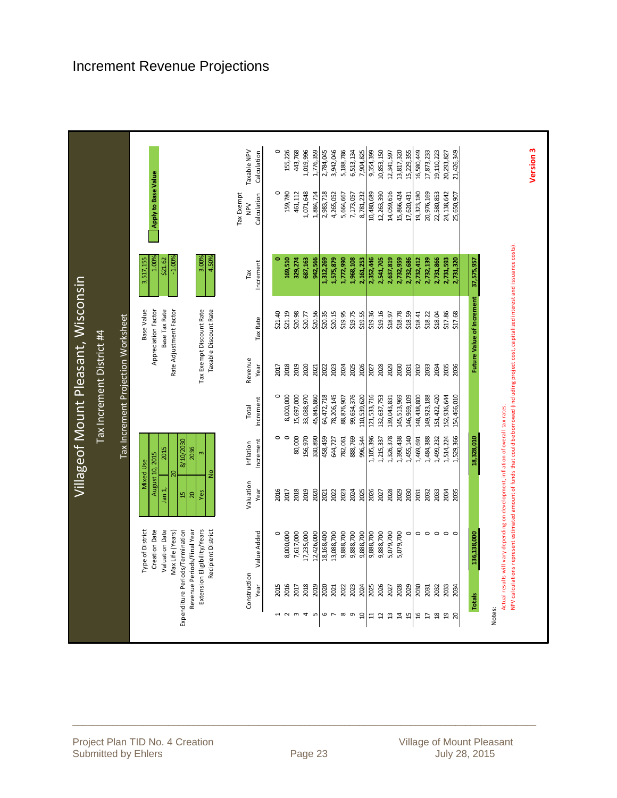|                                                             |                                                                                                                                                                                                                                      |                                       |                                                                                                                      |                                    |                 | Villageof Mount Pleasant, Wisconsin                                                                                               |                                                             |                                         |                            |
|-------------------------------------------------------------|--------------------------------------------------------------------------------------------------------------------------------------------------------------------------------------------------------------------------------------|---------------------------------------|----------------------------------------------------------------------------------------------------------------------|------------------------------------|-----------------|-----------------------------------------------------------------------------------------------------------------------------------|-------------------------------------------------------------|-----------------------------------------|----------------------------|
|                                                             |                                                                                                                                                                                                                                      |                                       |                                                                                                                      | Tax Increment District #4          |                 |                                                                                                                                   |                                                             |                                         |                            |
|                                                             |                                                                                                                                                                                                                                      |                                       |                                                                                                                      | Tax Increment Projection Worksheet |                 |                                                                                                                                   |                                                             |                                         |                            |
|                                                             | Revenue Periods/Final Year<br>Extension Eligibility/Years<br><b>Type of District</b><br><b>Creation Date</b><br>Valuation Date<br>Expenditure Periods/Termination<br>Recipient District<br>Max Life (Years)                          | Jan 1,<br>Yes<br>$\frac{15}{2}$<br>20 | 0607/01/8<br>2036<br>2015<br>$\mathsf{m}$<br>August 10, 2015<br><b>Mixed Use</b><br>$\frac{1}{2}$<br>$\overline{20}$ |                                    |                 | Rate Adjustment Factor<br>Base Value<br>Base Tax Rate<br>Tax Exempt Discount Rate<br>Taxable Discount Rate<br>Appreciation Factor | $-1.00%$<br>4.50%<br>1.00%<br>3.00%<br>3,517,155<br>\$21.62 | Apply to Base Value                     |                            |
| Construction<br>Year                                        | Value Added                                                                                                                                                                                                                          | Valuation<br>Year                     | Increment<br>Inflation                                                                                               | Increment<br>Total                 | Revenue<br>Year | Tax Rate                                                                                                                          | Increment<br>Tax                                            | <b>Tax Exempt</b><br>Calculation<br>NPV | Taxable NPV<br>Calculation |
| 2015                                                        | $\circ$                                                                                                                                                                                                                              | 2016                                  | $\circ$                                                                                                              | $\circ$                            | 2017            | \$21.40                                                                                                                           |                                                             | $\circ$                                 | $\circ$                    |
| 2016<br>2017<br>$\omega$<br>$\sim$                          | 8,000,000<br>7,617,000                                                                                                                                                                                                               | 2018<br>2017                          | $\circ$<br>80,000                                                                                                    | 15,697,000<br>8,000,000            | 2019<br>2018    | \$21.19<br>\$20.98                                                                                                                | 169,510<br>329,274                                          | 159,780<br>461,112                      | 155,226<br>443,768         |
| 2018<br>2019<br>$\overline{\mathcal{A}}$<br>LO <sub>1</sub> | 17,235,000<br>12,426,000                                                                                                                                                                                                             | 2019<br>2020                          | 156,970                                                                                                              | 33,088,970                         | 2020<br>2021    | \$20.56<br>\$20.77                                                                                                                | 687,163                                                     | 1,071,648                               | 1,019,996                  |
| 2020<br>6                                                   | 18,168,400                                                                                                                                                                                                                           | 2021                                  | 330,890<br>458,459                                                                                                   | 45,845,860<br>64,472,718           | 2022            | \$20.35                                                                                                                           | 942,566<br>1,312,269                                        | 1.884.714<br>2,983,718                  | 1,776,359<br>2,784,045     |
| 2021<br>$\mathord{\sim}$                                    | 13,088,700                                                                                                                                                                                                                           | 2022                                  | 644,727                                                                                                              | 78,206,145                         | 2023            | \$20.15                                                                                                                           | 1,575,879                                                   | 4,265,052                               | 3,942,046                  |
| 2023<br>2022<br>$\infty$ $\infty$                           | 9,888,700<br>9,888,700                                                                                                                                                                                                               | 2023<br>2024                          | 888,769<br>782,061                                                                                                   | 99,654,376<br>88,876,907           | 2024<br>2025    | \$19.95<br>\$19.75                                                                                                                | 1,968,108<br>1,772,990                                      | 5,664,667<br>7,173,057                  | 5,188,786<br>6,513,134     |
| 2024<br>đ                                                   | 9,888,700                                                                                                                                                                                                                            | 2025                                  | 996,544                                                                                                              | 110,539,620                        | 2026            | \$19.55                                                                                                                           | 2,161,253                                                   | 8,781,232                               | 7,904,825                  |
| 2026<br>2025<br>H<br>$\overline{u}$                         | 9,888,700<br>9,888,700                                                                                                                                                                                                               | 2026<br>2027                          | 1,105,396<br>1,215,337                                                                                               | 121,533,716<br>132,637,753         | 2028<br>2027    | \$19.16<br>\$19.36                                                                                                                | 2,352,446<br>2,541,705                                      | 10,480,689<br>12,263,390                | 10,853,150<br>9,354,399    |
| 2027<br>$\mathfrak{a}$                                      | 5,079,700                                                                                                                                                                                                                            | 2028                                  | 1,326,378                                                                                                            | 139,043,831                        | 2029            | \$18.97                                                                                                                           | 2,637,819                                                   | 14,059,616                              | 12,341,597                 |
| 2028<br>2029<br>$\sharp$<br>15                              | $\circ$<br>5,079,700                                                                                                                                                                                                                 | 2029<br>2030                          | 1,390,438<br>1,455,140                                                                                               | 145,513,969<br>146,969,109         | 2030<br>2031    | \$18.78<br>\$18.59                                                                                                                | 2,732,959<br>2,732,686                                      | 15,866,424<br>17,620,431                | 13,817,320<br>15,229,355   |
| 2030<br>$\mathfrak{a}$                                      |                                                                                                                                                                                                                                      | 2031                                  | 1,469,691                                                                                                            | 148,438,800                        | 2032            | \$18.41                                                                                                                           | 2,732,412                                                   | 19,323,180                              | 16,580,449                 |
| 2031<br>H                                                   | $\circ$ $\circ$                                                                                                                                                                                                                      | 2032                                  | 1,484,388                                                                                                            | 149,923,188                        | 2033            | \$18.22                                                                                                                           | 2,732,139                                                   | 20,976,169                              | 17,873,233                 |
| 2033<br>2032<br>$\frac{8}{2}$                               | $\circ$                                                                                                                                                                                                                              | 2033<br>2034                          | 1,499,232<br>1,514,224                                                                                               | 151,422,420<br>152,936,644         | 2034<br>2035    | \$17.86<br>\$18.04                                                                                                                | 2,731,866<br>2,731,593                                      | 22,580,853<br>24,138,642                | 19,110,223<br>20,293,827   |
| 2034<br>$\begin{matrix} 2 \\ 3 \end{matrix}$                | $\circ$ $\circ$                                                                                                                                                                                                                      | 2035                                  | 1,529,366                                                                                                            | 154,466,010                        | 2036            | \$17.68                                                                                                                           | 2,731,320                                                   | 25,650,907                              | 21,426,349                 |
| Totals                                                      | 136,138,000                                                                                                                                                                                                                          |                                       | 18,328,010                                                                                                           |                                    |                 | Future Value of Increment                                                                                                         | 37,575,957                                                  |                                         |                            |
| Notes:                                                      | NPV calculations represent estimated amount of funds that could be borrowed (including project cost, capitalized interest and issuance costs).<br>Actual results will vary depending on development, inflation of overall tax rates. |                                       |                                                                                                                      |                                    |                 |                                                                                                                                   |                                                             |                                         |                            |
|                                                             |                                                                                                                                                                                                                                      |                                       |                                                                                                                      |                                    |                 |                                                                                                                                   |                                                             |                                         | Version <sub>3</sub>       |

# Increment Revenue Projections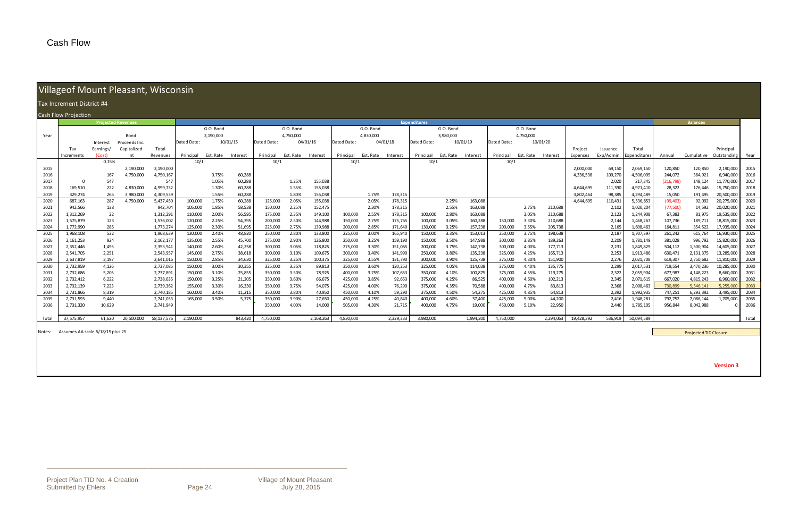\_\_\_\_\_\_\_\_\_\_\_\_\_\_\_\_\_\_\_\_\_\_\_\_\_\_\_\_\_\_\_\_\_\_\_\_\_\_\_\_\_\_\_\_\_\_\_\_\_\_\_\_\_\_\_\_\_\_\_\_\_\_\_\_\_\_\_\_\_\_\_\_\_\_\_\_\_\_\_\_\_\_\_\_\_\_\_\_\_\_\_\_

|  | Villageof Mount Pleasant, Wisconsin |  |
|--|-------------------------------------|--|

|              |                                         |                           | THIS POSSESSED INTO SHIP IS TO SOLL TO THE THE TELL THIS CONTIGHT. |                        |                    |                |                  |                    |                |                    |                    |                |                    |                     |                    |                    |             |                |                    |            |                |                        |                    |                              |                          |              |
|--------------|-----------------------------------------|---------------------------|--------------------------------------------------------------------|------------------------|--------------------|----------------|------------------|--------------------|----------------|--------------------|--------------------|----------------|--------------------|---------------------|--------------------|--------------------|-------------|----------------|--------------------|------------|----------------|------------------------|--------------------|------------------------------|--------------------------|--------------|
|              | Tax Increment District #4               |                           |                                                                    |                        |                    |                |                  |                    |                |                    |                    |                |                    |                     |                    |                    |             |                |                    |            |                |                        |                    |                              |                          |              |
|              | Cash Flow Projection                    |                           |                                                                    |                        |                    |                |                  |                    |                |                    |                    |                |                    |                     |                    |                    |             |                |                    |            |                |                        |                    |                              |                          |              |
|              |                                         | <b>Projected Revenues</b> |                                                                    |                        |                    |                |                  |                    |                |                    |                    |                |                    | <b>Expenditures</b> |                    |                    |             |                |                    |            |                |                        |                    | <b>Balances</b>              |                          |              |
|              |                                         |                           |                                                                    |                        |                    | G.O. Bond      |                  |                    | G.O. Bond      |                    |                    | G.O. Bond      |                    |                     | G.O. Bond          |                    |             | G.O. Bond      |                    |            |                |                        |                    |                              |                          |              |
| Year         |                                         |                           | Bond                                                               |                        |                    | 2,190,000      |                  |                    | 4,750,000      |                    |                    | 4.830.000      |                    |                     | 3.980.000          |                    |             | 4,750,000      |                    |            |                |                        |                    |                              |                          |              |
|              |                                         | Interest                  | Proceeds Inc.                                                      |                        | Dated Date:        |                | 10/01/15         | Dated Date:        |                | 04/01/16           | Dated Date:        |                | 04/01/18           | Dated Date:         |                    | 10/01/19           | Dated Date: |                | 10/01/20           |            |                |                        |                    |                              |                          |              |
|              | Tax                                     | Earnings,                 | Capitalized                                                        | Total                  |                    |                |                  |                    |                |                    |                    |                |                    |                     |                    |                    |             |                |                    | Project    | Issuance       | Total                  |                    |                              | Principal                |              |
|              | Increments                              | (Cost)                    | Int                                                                | Revenues               | Principal          | Est. Rate      | Interest         | Principal          | Est. Rate      | Interest           | Principal          | Est. Rate      | Interest           | Principal           | Est. Rate Interest |                    | Principal   | Est. Rate      | Interest           | Expenses   | Exp/Admin.     | Expenditures           | Annual             | Cumulative                   | Outstanding              | Year         |
|              |                                         | 0.15%                     |                                                                    |                        | 10/1               |                |                  | 10/1               |                |                    | 10/1               |                |                    | 10/1                |                    |                    | 10/1        |                |                    |            |                |                        |                    |                              |                          |              |
| 2015         |                                         |                           | 2,190,000                                                          | 2,190,000              |                    |                |                  |                    |                |                    |                    |                |                    |                     |                    |                    |             |                |                    | 2,000,000  | 69,150         | 2,069,150              | 120,850            | 120,850                      | 2,190,000                | 2015         |
| 2016         |                                         | 167                       | 4,750,000                                                          | 4,750,167              |                    | 0.75%          | 60,288           |                    |                |                    |                    |                |                    |                     |                    |                    |             |                |                    | 4,336,538  | 109,270        | 4,506,095              | 244,072            | 364,921                      | 6,940,000                | 2016         |
| 2017         | - 0                                     | 547                       |                                                                    | 547                    |                    | 1.05%          | 60,288           |                    | 1.25%          | 155,038            |                    |                |                    |                     |                    |                    |             |                |                    |            | 2,020          | 217,345                | (216, 798)         | 148,124                      | 11,770,000               | 2017         |
| 2018         | 169,510                                 | 222                       | 4,830,000                                                          | 4,999,732              |                    | 1.30%          | 60,288           |                    | 1.55%          | 155,038            |                    |                |                    |                     |                    |                    |             |                |                    | 4,644,695  | 111,390        | 4,971,410              | 28,322             | 176,446                      | 15,750,000               | 2018         |
| 2019         | 329.274                                 | 265                       | 3.980.000                                                          | 4,309,539              |                    | 1.55%          | 60.288           |                    | 1.80%          | 155.038            |                    | 1.75%          | 178,315            |                     |                    |                    |             |                |                    | 3.802.464  | 98.385         | 4.294.489              | 15,050             | 191.495                      | 20,500,000               | 2019         |
| 2020         | 687,163                                 | 287                       | 4,750,000                                                          | 5,437,450              | 100,000            | 1.75%          | 60,288           | 125,000            | 2.05%          | 155,038            |                    | 2.05%          | 178,315            |                     | 2.25%              | 163,088            |             |                |                    | 4,644,695  | 110,431        | 5,536,853              | (99, 403)          | 92,092                       | 20,275,000               | 2020         |
| 2021         | 942,566<br>1,312,269                    | 138                       |                                                                    | 942,704                | 105,000            | 1.85%          | 58,538<br>56,595 | 150,000            | 2.25%          | 152,475<br>149,100 |                    | 2.30%          | 178,315<br>178,315 |                     | 2.55%              | 163,088<br>163,088 |             | 2.75%          | 210,688<br>210,688 |            | 2,102          | 1,020,204              | (77,500)<br>67,383 | 14,592                       | 20,020,000<br>19,535,000 | 2021<br>2022 |
| 2022<br>2023 | 1,575,879                               | 22<br>123                 |                                                                    | 1,312,291<br>1,576,002 | 110,000<br>120,000 | 2.00%<br>2.25% | 54,395           | 175,000<br>200,000 | 2.35%<br>2.50% | 144,988            | 100,000<br>150,000 | 2.55%<br>2.75% | 175,765            | 100,000<br>100,000  | 2.80%<br>3.05%     | 160,288            | 150,000     | 3.05%<br>3.30% | 210,688            |            | 2,123<br>2,144 | 1,244,908<br>1,468,267 | 107,736            | 81,975<br>189,711            | 18,815,000               | 2023         |
| 2024         | 1,772,990                               | 285                       |                                                                    | 1,773,274              | 125,000            | 2.30%          | 51,695           | 225,000            | 2.75%          | 139,988            | 200,000            | 2.85%          | 171,640            | 130,000             | 3.25%              | 157,238            | 200,000     | 3.55%          | 205,738            |            | 2,165          | 1,608,463              | 164,811            | 354,522                      | 17,935,000               | 2024         |
| 2025         | 1,968,108                               | 532                       |                                                                    | 1,968,639              | 130,000            | 2.40%          | 48,820           | 250,000            | 2.80%          | 133,800            | 225,000            | 3.00%          | 165,940            | 150,000             | 3.35%              | 153,013            | 250,000     | 3.75%          | 198,638            |            | 2,187          | 1,707,397              | 261,242            | 615,764                      | 16,930,000               | 2025         |
| 2026         | 2,161,253                               | 924                       |                                                                    | 2, 162, 177            | 135,000            | 2.55%          | 45,700           | 275,000            | 2.90%          | 126,800            | 250,000            | 3.25%          | 159,190            | 150,000             | 3.50%              | 147,988            | 300,000     | 3.85%          | 189,263            |            | 2,209          | 1,781,149              | 381,028            | 996,792                      | 15,820,000               | 2026         |
| 2027         | 2,352,446                               | 1,495                     |                                                                    | 2,353,941              | 140,000            | 2.60%          | 42,258           | 300,000            | 3.05%          | 118,825            | 275,000            | 3.30%          | 151,065            | 200,000             | 3.75%              | 142,738            | 300,000     | 4.00%          | 177,713            |            | 2,231          | 1,849,829              | 504,112            | 1,500,904                    | 14,605,000               | 2027         |
| 2028         | 2,541,705                               | 2,251                     |                                                                    | 2,543,957              | 145,000            | 2.75%          | 38,618           | 300,000            | 3.10%          | 109,675            | 300,000            | 3.40%          | 141,990            | 250,000             | 3.80%              | 135,238            | 325,000     | 4.25%          | 165,713            |            | 2,253          | 1,913,486              | 630,471            | 2,131,375                    | 13,285,000               | 2028         |
| 2029         | 2,637,819                               | 3,197                     |                                                                    | 2,641,016              | 150.000            | 2.85%          | 34,630           | 325,000            | 3.25%          | 100,375            | 325,000            | 3.55%          | 131,790            | 300,000             | 3.90%              | 125,738            | 375,000     | 4.30%          | 151,900            |            | 2,276          | 2,021,708              | 619,307            | 2,750,682                    | 11,810,000               | 2029         |
| 2030         | 2,732,959                               | 4,126                     |                                                                    | 2,737,085              | 150,000            | 3.00%          | 30,355           | 325,000            | 3.35%          | 89,813             | 350,000            | 3.60%          | 120,253            | 325,000             | 4.05%              | 114,038            | 375,000     | 4.40%          | 135,775            |            | 2,299          | 2,017,531              | 719,554            | 3,470,236                    | 10,285,000               | 2030         |
| 2031         | 2,732,686                               | 5,205                     |                                                                    | 2,737,891              | 150,000            | 3.10%          | 25,855           | 350,000            | 3.50%          | 78,925             | 400,000            | 3.75%          | 107,653            | 350,000             | 4.10%              | 100,875            | 375,000     | 4.55%          | 119,275            |            | 2,322          | 2,059,904              | 677,987            | 4,148,223                    | 8,660,000                | 2031         |
| 2032         | 2,732,412                               | 6,222                     |                                                                    | 2,738,635              | 150,000            | 3.25%          | 21,205           | 350,000            | 3.60%          | 66,675             | 425,000            | 3.85%          | 92,653             | 375,000             | 4.25%              | 86,525             | 400,000     | 4.60%          | 102,213            |            | 2,345          | 2,071,615              | 667,020            | 4,815,243                    | 6,960,000                | 2032         |
| 2033         | 2,732,139                               | 7,223                     |                                                                    | 2,739,362              | 155,000            | 3.30%          | 16,330           | 350,000            | 3.75%          | 54,075             | 425,000            | 4.00%          | 76,290             | 375,000             | 4.35%              | 70,588             | 400,000     | 4.75%          | 83,813             |            | 2,368          | 2,008,463              | 730,899            | 5,546,141                    | 5,255,000                | 2033         |
| 2034         | 2,731,866                               | 8,319                     |                                                                    | 2,740,185              | 160.000            | 3.40%          | 11,215           | 350.000            | 3.80%          | 40.950             | 450.000            | 4.10%          | 59,290             | 375.000             | 4.50%              | 54,275             | 425.000     | 4.85%          | 64,813             |            | 2,392          | 1,992,935              | 747.251            | 6,293,392                    | 3,495,000                | 2034         |
| 2035         | 2,731,593                               | 9,440                     |                                                                    | 2,741,033              | 165,000            | 3.50%          | 5,775            | 350,000            | 3.90%          | 27,650             | 450,000            | 4.25%          | 40,840             | 400,000             | 4.60%              | 37,400             | 425,000     | 5.00%          | 44,200             |            | 2,416          | 1,948,281              | 792,752            | 7,086,144                    | 1,705,000                | 2035         |
| 2036         | 2,731,320                               | 10,629                    |                                                                    | 2,741,949              |                    |                |                  | 350,000            | 4.00%          | 14,000             | 505,000            | 4.30%          | 21,715             | 400,000             | 4.75%              | 19,000             | 450,000     | 5.10%          | 22,950             |            | 2,440          | 1,785,105              | 956,844            | 8,042,988                    |                          | 2036         |
| Total        | 37,575,957                              | 61,620                    | 20.500.000                                                         | 58,137,576             | 2,190,000          |                | 843,420          | 4,750,000          |                | 2,168,263          | 4.830.000          |                | 2,329,333          | 3,980,000           |                    | 1,994,200          | 4.750.000   |                | 2,294,063          | 19.428.392 | 536,919        | 50,094,589             |                    |                              |                          | Total        |
|              | Notes: Assumes AA scale 5/18/15 plus 25 |                           |                                                                    |                        |                    |                |                  |                    |                |                    |                    |                |                    |                     |                    |                    |             |                |                    |            |                |                        |                    |                              |                          |              |
|              |                                         |                           |                                                                    |                        |                    |                |                  |                    |                |                    |                    |                |                    |                     |                    |                    |             |                |                    |            |                |                        |                    | <b>Projected TID Closure</b> |                          |              |
|              |                                         |                           |                                                                    |                        |                    |                |                  |                    |                |                    |                    |                |                    |                     |                    |                    |             |                |                    |            |                |                        |                    |                              |                          |              |
|              |                                         |                           |                                                                    |                        |                    |                |                  |                    |                |                    |                    |                |                    |                     |                    |                    |             |                |                    |            |                |                        |                    |                              |                          |              |

**Version 3**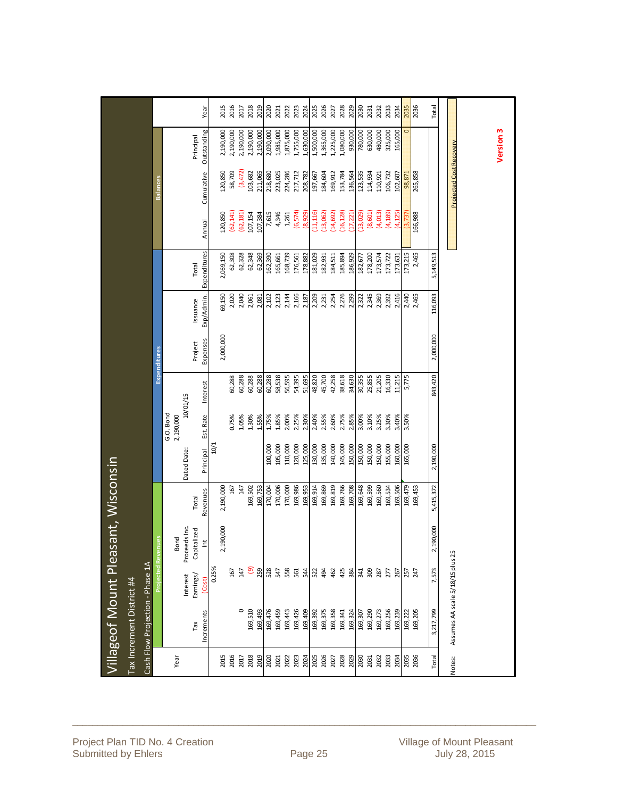|             | Villageof Mount Pleas            |                |               | ant, Wisconsin |             |                        |          |                     |            |              |           |                                |                      |       |
|-------------|----------------------------------|----------------|---------------|----------------|-------------|------------------------|----------|---------------------|------------|--------------|-----------|--------------------------------|----------------------|-------|
|             | Tax Increment District #4        |                |               |                |             |                        |          |                     |            |              |           |                                |                      |       |
|             | Cash Flow Projection - Phase 1A  |                |               |                |             |                        |          |                     |            |              |           |                                |                      |       |
|             |                                  |                | gan<br>Rever  |                |             |                        |          | <b>Expenditures</b> |            |              |           | <b>Balances</b>                |                      |       |
| Year        |                                  |                | Bond          |                |             | G.O. Bond<br>2,190,000 |          |                     |            |              |           |                                |                      |       |
|             |                                  | Interest       | Proceeds Inc. |                | Dated Date: |                        | 10/01/15 |                     |            |              |           |                                |                      |       |
|             | Tax                              | Earnings/      | Capitalized   | Total          |             |                        |          | Project             | Issuance   | Total        |           |                                | Principal            |       |
|             | Increments                       | (Cost)         | $\breve{\Xi}$ | Revenues       | Principal   | Est. Rate              | Interest | Expenses            | Exp/Admin. | Expenditures | Annual    | Cumulative                     | Outstanding          | Year  |
| 2015        |                                  | 0.25%          | 2,190,000     | 2,190,000      | 10/1        |                        |          | 2,000,000           | 69,150     | 2,069,150    | 120,850   | 120,850                        | 2,190,000            | 2015  |
| 2016        |                                  | 167            |               | 167            |             | 0.75%                  | 60,288   |                     | 2,020      | 62,308       | (62, 141) | 58,709                         | 2,190,000            | 2016  |
| 2017        | $\circ$                          | 147            |               | 147            |             | 1.05%                  | 60,288   |                     | 2,040      | 62,328       | (62, 181) | (3,472)                        | 2,190,000            | 2017  |
| 2018        | 169,510                          | $\overline{e}$ |               | 169,502        |             | 1.30%                  | 60,288   |                     | 2,061      | 62,348       | 107,154   | 103,682                        | 2,190,000            | 2018  |
| 2019        | 169,493                          | 259            |               | 169,753        |             | 1.55%                  | 60,288   |                     | 2,081      | 62,369       | 107,384   | 211,065                        | 2,190,000            | 2019  |
| 2020        | 169,476                          | 528            |               | 170,004        | 100,000     | 1.75%                  | 60,288   |                     | 2,102      | 162,390      | 7,615     | 218,680                        | 2,090,000            | 2020  |
| 2021        | 169,459                          | 547            |               | 170,006        | 105,000     | 1.85%                  | 58,538   |                     | 2,123      | 165,661      | 4,346     | 223,025                        | 1,985,000            | 2021  |
| 2022        | 169,443                          | 558            |               | 170,000        | 110,000     | 2.00%                  | 56,595   |                     | 2,144      | 168,739      | 1,261     | 224,286                        | 1,875,000            | 2022  |
| 2023        | 169,426                          | 561            |               | 169,986        | 120,000     | 2.25%                  | 54,395   |                     | 2,166      | 176,561      | (6,574)   | 217,712                        | 1,755,000            | 2023  |
| 2024        | 169,409                          | 544            |               | 169,953        | 125,000     | 2.30%                  | 51,695   |                     | 2,187      | 178,882      | (8,929)   | 208,782                        | 1,630,000            | 2024  |
| 2025        | 169,392                          | 522            |               | 169,914        | 130,000     | 2.40%                  | 48,820   |                     | 2,209      | 181,029      | (11, 116) | 197,667                        | 1,500,000            | 2025  |
| 2026        | 169,375                          | 494            |               | 169,869        | 135,000     | 2.55%                  | 45,700   |                     | 2,231      | 182,931      | (13,062)  | 184,604                        | 1,365,000            | 2026  |
| 2027        | 169,358                          | 462            |               | 169,819        | 140,000     | 2.60%                  | 42,258   |                     | 2,254      | 184,511      | (14, 692) | 169,912                        | 1,225,000            | 2027  |
| 2028        | 169,341                          | 425            |               | 169,766        | 145,000     | 2.75%                  | 38,618   |                     | 2,276      | 185,894      | (16, 128) | 153,784                        | 1,080,000            | 2028  |
| 2029        | 169,324                          | 384            |               | 169,708        | 150,000     | 2.85%                  | 34,630   |                     | 2,299      | 186,929      | (17, 221) | 136,564                        | 930,000              | 2029  |
| <b>OEOZ</b> | 169,307                          | 308<br>309     |               | 169,648        | 150,000     | 3.00%                  | 30,355   |                     | 2,322      | 182,677      | (13, 029) | 123,535                        | 780,000              | 2030  |
| 2031        | 169,290                          |                |               | 169,599        | 150,000     | 3.10%                  | 25,855   |                     | 2,345      | 178,200      | (8,601)   | 114,934                        | 630,000              | 2031  |
| 2032        | 169,273                          | 287            |               | 169,560        | 150,000     | 3.25%                  | 21,205   |                     | 2,369      | 173,574      | (4,013)   | 110,921                        | 480,000              | 2032  |
| 2033        | 169,256                          | 277            |               | 169,534        | 155,000     | 3.30%                  | 16,330   |                     | 2,392      | 173,722      | (4, 189)  | 106,732                        | 325,000              | 2033  |
| 2034        | 169,239                          | 267            |               | 169,506        | 160,000     | 3.40%                  | 11,215   |                     | 2,416      | 173,631      | (4, 125)  | 102,607                        | 165,000              | 2034  |
| 2035        | 169,222                          | 257            |               | 169,479        | 165,000     | 3.50%                  | 5,775    |                     | 2,440      | 173,215      | (3, 737)  | 98,871                         | $\circ$              | 2035  |
| 2036        | 169,205                          | 247            |               | 169,453        |             |                        |          |                     | 2,465      | 2,465        | 166,988   | 265,858                        |                      | 2036  |
| Total       | 3,217,799                        | 7,573          | 190,000<br>2, | 5,415,372      | 2,190,000   |                        | 843,420  | 2,000,000           | 116,093    | 5,149,513    |           |                                |                      | Total |
|             |                                  |                |               |                |             |                        |          |                     |            |              |           |                                |                      |       |
| Notes:      | Assumes AA scale 5/18/15 plus 25 |                |               |                |             |                        |          |                     |            |              |           | <b>Projected Cost Recovery</b> |                      |       |
|             |                                  |                |               |                |             |                        |          |                     |            |              |           |                                |                      |       |
|             |                                  |                |               |                |             |                        |          |                     |            |              |           |                                |                      |       |
|             |                                  |                |               |                |             |                        |          |                     |            |              |           |                                | Version <sub>3</sub> |       |
|             |                                  |                |               |                |             |                        |          |                     |            |              |           |                                |                      |       |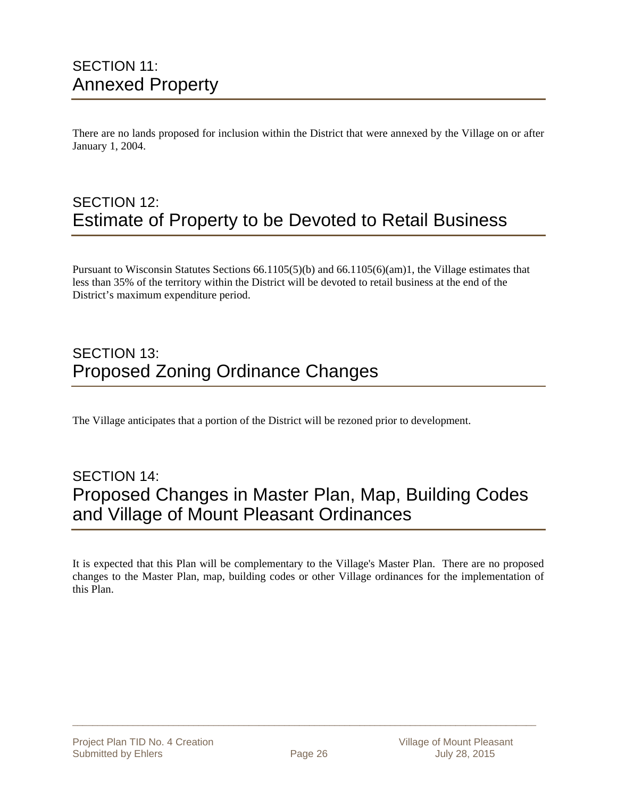# SECTION 11: Annexed Property

There are no lands proposed for inclusion within the District that were annexed by the Village on or after January 1, 2004.

## SECTION 12: Estimate of Property to be Devoted to Retail Business

Pursuant to Wisconsin Statutes Sections 66.1105(5)(b) and 66.1105(6)(am)1, the Village estimates that less than 35% of the territory within the District will be devoted to retail business at the end of the District's maximum expenditure period.

# SECTION 13: Proposed Zoning Ordinance Changes

The Village anticipates that a portion of the District will be rezoned prior to development.

# SECTION 14: Proposed Changes in Master Plan, Map, Building Codes and Village of Mount Pleasant Ordinances

It is expected that this Plan will be complementary to the Village's Master Plan. There are no proposed changes to the Master Plan, map, building codes or other Village ordinances for the implementation of this Plan.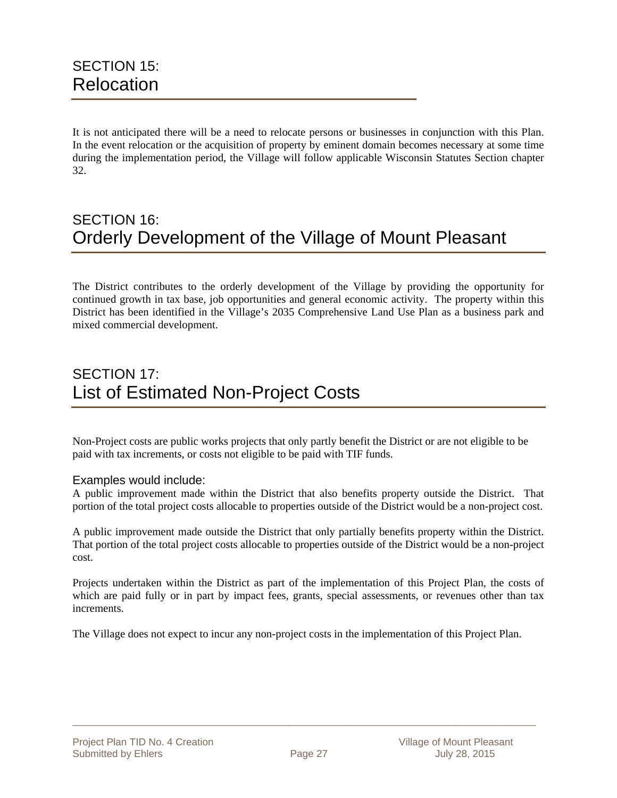It is not anticipated there will be a need to relocate persons or businesses in conjunction with this Plan. In the event relocation or the acquisition of property by eminent domain becomes necessary at some time during the implementation period, the Village will follow applicable Wisconsin Statutes Section chapter 32.

# SECTION 16: Orderly Development of the Village of Mount Pleasant

The District contributes to the orderly development of the Village by providing the opportunity for continued growth in tax base, job opportunities and general economic activity. The property within this District has been identified in the Village's 2035 Comprehensive Land Use Plan as a business park and mixed commercial development.

### SECTION 17: List of Estimated Non-Project Costs

Non-Project costs are public works projects that only partly benefit the District or are not eligible to be paid with tax increments, or costs not eligible to be paid with TIF funds.

#### Examples would include:

A public improvement made within the District that also benefits property outside the District. That portion of the total project costs allocable to properties outside of the District would be a non-project cost.

A public improvement made outside the District that only partially benefits property within the District. That portion of the total project costs allocable to properties outside of the District would be a non-project cost.

Projects undertaken within the District as part of the implementation of this Project Plan, the costs of which are paid fully or in part by impact fees, grants, special assessments, or revenues other than tax increments.

The Village does not expect to incur any non-project costs in the implementation of this Project Plan.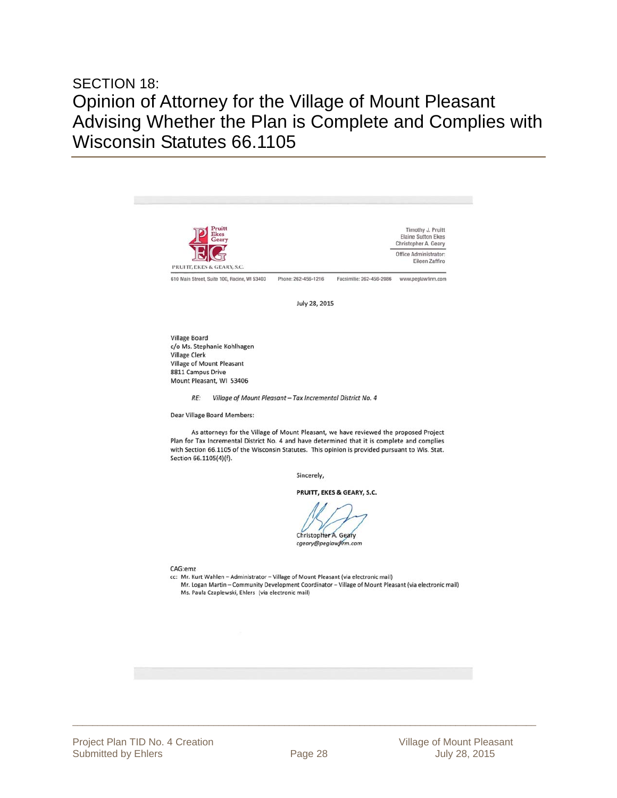# SECTION 18: Opinion of Attorney for the Village of Mount Pleasant Advising Whether the Plan is Complete and Complies with Wisconsin Statutes 66.1105

![](_page_27_Picture_1.jpeg)